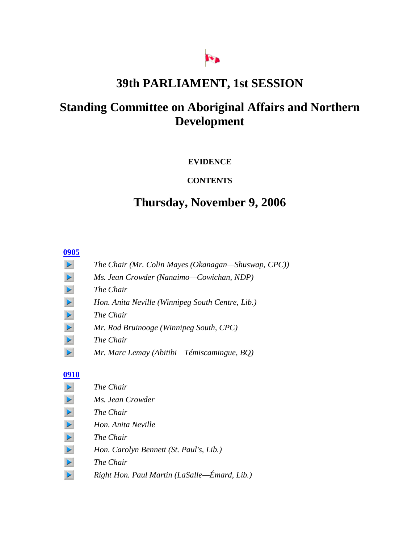# h.

# **39th PARLIAMENT, 1st SESSION**

# **Standing Committee on Aboriginal Affairs and Northern Development**

### **EVIDENCE**

## **CONTENTS**

## **Thursday, November 9, 2006**

#### **[0905](http://cmte.parl.gc.ca/Content/HOC/committee/391/aano/evidence/ev2499050/aanoev25-e.htm#T0905)**

- $\blacktriangleright$ *The Chair (Mr. Colin Mayes (Okanagan—Shuswap, CPC))*
- $\blacktriangleright$ *Ms. Jean Crowder (Nanaimo—Cowichan, NDP)*
- $\blacktriangleright$ *The Chair*
- $\blacktriangleright$ *Hon. Anita Neville (Winnipeg South Centre, Lib.)*
- $\blacktriangleright$ *The Chair*
- *Mr. Rod Bruinooge (Winnipeg South, CPC)*
- $\blacktriangleright$ *The Chair*
- *Mr. Marc Lemay (Abitibi—Témiscamingue, BQ)*

#### **[0910](http://cmte.parl.gc.ca/Content/HOC/committee/391/aano/evidence/ev2499050/aanoev25-e.htm#T0910)**

- $\blacktriangleright$ *The Chair*
- $\blacktriangleright$ *Ms. Jean Crowder*
- $\blacktriangleright$ *The Chair*
- $\blacktriangleright$ *Hon. Anita Neville*
- $\blacktriangleright$ *The Chair*
- *Hon. Carolyn Bennett (St. Paul's, Lib.)*
- *The Chair*
- $\blacktriangleright$ *Right Hon. Paul Martin (LaSalle—Émard, Lib.)*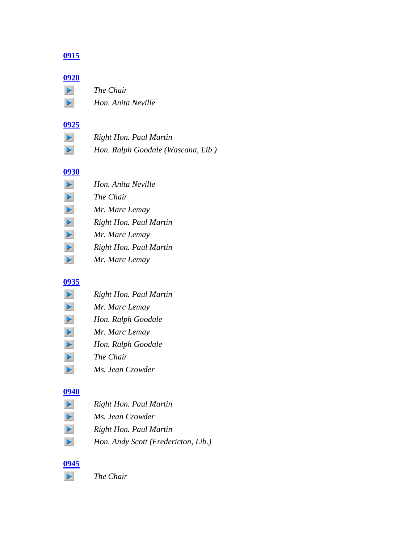## **[0920](http://cmte.parl.gc.ca/Content/HOC/committee/391/aano/evidence/ev2499050/aanoev25-e.htm#T0920)**

| The Chair          |
|--------------------|
| Hon. Anita Neville |

## **[0925](http://cmte.parl.gc.ca/Content/HOC/committee/391/aano/evidence/ev2499050/aanoev25-e.htm#T0925)**

| $\blacktriangleright$ | Right Hon. Paul Martin             |
|-----------------------|------------------------------------|
| $\blacktriangleright$ | Hon. Ralph Goodale (Wascana, Lib.) |

## **[0930](http://cmte.parl.gc.ca/Content/HOC/committee/391/aano/evidence/ev2499050/aanoev25-e.htm#T0930)**

| Hon. Anita Neville     |
|------------------------|
| The Chair              |
| Mr. Marc Lemay         |
| Right Hon. Paul Martin |
| Mr. Marc Lemay         |

- *Right Hon. Paul Martin*
- *Mr. Marc Lemay*

## **[0935](http://cmte.parl.gc.ca/Content/HOC/committee/391/aano/evidence/ev2499050/aanoev25-e.htm#T0935)**

- $\blacktriangleright$ *Right Hon. Paul Martin*
- $\blacktriangleright$ *Mr. Marc Lemay*
- $\blacktriangleright$ *Hon. Ralph Goodale*
- $\blacktriangleright$ *Mr. Marc Lemay*
- $\blacktriangleright$ *Hon. Ralph Goodale*
- *The Chair*
- $\blacktriangleright$ *Ms. Jean Crowder*

#### **[0940](http://cmte.parl.gc.ca/Content/HOC/committee/391/aano/evidence/ev2499050/aanoev25-e.htm#T0940)**

- $\blacktriangleright$ *Right Hon. Paul Martin*
- $\blacktriangleright$ *Ms. Jean Crowder*
- *Right Hon. Paul Martin*
- *Hon. Andy Scott (Fredericton, Lib.)*  $\blacktriangleright$

## **[0945](http://cmte.parl.gc.ca/Content/HOC/committee/391/aano/evidence/ev2499050/aanoev25-e.htm#T0945)**  $\blacktriangleright$

*The Chair*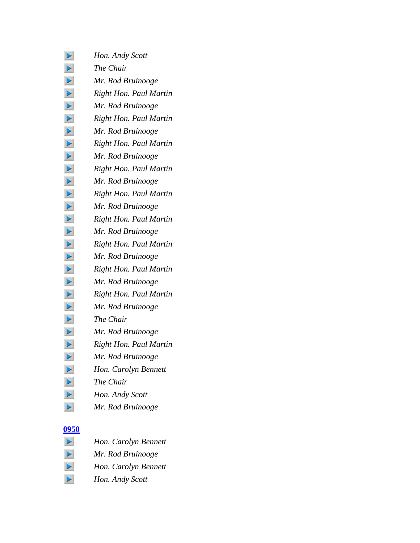|                       | Hon. Andy Scott        |
|-----------------------|------------------------|
|                       | The Chair              |
| $\blacktriangleright$ | Mr. Rod Bruinooge      |
| $\blacktriangleright$ | Right Hon. Paul Martin |
| $\blacktriangleright$ | Mr. Rod Bruinooge      |
| $\blacktriangleright$ | Right Hon. Paul Martin |
| $\blacktriangleright$ | Mr. Rod Bruinooge      |
| $\blacktriangleright$ | Right Hon. Paul Martin |
| ▶                     | Mr. Rod Bruinooge      |
| ▶                     | Right Hon. Paul Martin |
| ▶                     | Mr. Rod Bruinooge      |
| $\blacktriangleright$ | Right Hon. Paul Martin |
| $\blacktriangleright$ | Mr. Rod Bruinooge      |
| $\blacktriangleright$ | Right Hon. Paul Martin |
| $\blacktriangleright$ | Mr. Rod Bruinooge      |
| $\blacktriangleright$ | Right Hon. Paul Martin |
| $\blacktriangleright$ | Mr. Rod Bruinooge      |
| $\blacktriangleright$ | Right Hon. Paul Martin |
| $\blacktriangleright$ | Mr. Rod Bruinooge      |
| Þ                     | Right Hon. Paul Martin |
| $\blacktriangleright$ | Mr. Rod Bruinooge      |
| Þ                     | The Chair              |
| ▶                     | Mr. Rod Bruinooge      |
| $\blacktriangleright$ | Right Hon. Paul Martin |
| $\blacktriangleright$ | Mr. Rod Bruinooge      |
|                       | Hon. Carolyn Bennett   |
|                       | The Chair              |
| $\blacktriangleright$ | Hon. Andy Scott        |
| ь                     | Mr. Rod Bruinooge      |
|                       |                        |
| <u>0950</u>           |                        |
|                       | Hon. Carolyn Bennett   |
|                       | Mr. Rod Bruinooge      |
|                       | Hon. Carolyn Bennett   |
|                       | Hon. Andy Scott        |

- *Hon. Carolyn Bennett Mr. Rod Bruinooge*
- 
- *Hon. Carolyn Bennett*
- *Hon. Andy Scott*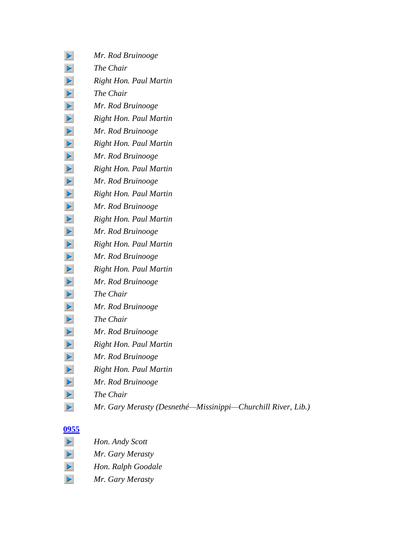- *Mr. Rod Bruinooge The Chair Right Hon. Paul Martin*  $\blacktriangleright$  *The Chair Mr. Rod Bruinooge*  $\blacktriangleright$  *Right Hon. Paul Martin*  $\blacktriangleright$  *Mr. Rod Bruinooge*  $\blacktriangleright$  *Right Hon. Paul Martin*  $\blacktriangleright$  *Mr. Rod Bruinooge Right Hon. Paul Martin*  $\blacktriangleright$  *Mr. Rod Bruinooge*  $\blacktriangleright$  *Right Hon. Paul Martin*  $\blacktriangleright$  *Mr. Rod Bruinooge Right Hon. Paul Martin*  $\blacktriangleright$  *Mr. Rod Bruinooge*  $\blacktriangleright$  *Right Hon. Paul Martin*  $\blacktriangleright$  *Mr. Rod Bruinooge*  $\blacktriangleright$  *Right Hon. Paul Martin*  $\blacktriangleright$  *Mr. Rod Bruinooge*  $\blacktriangleright$  *The Chair Mr. Rod Bruinooge*  $\blacktriangleright$  *The Chair*  $\blacktriangleright$  *Mr. Rod Bruinooge*  $\blacktriangleright$  *Right Hon. Paul Martin Mr. Rod Bruinooge*  $\blacktriangleright$  *Right Hon. Paul Martin*  $\blacktriangleright$  *Mr. Rod Bruinooge The Chair Mr. Gary Merasty (Desnethé—Missinippi—Churchill River, Lib.)* **[0955](http://cmte.parl.gc.ca/Content/HOC/committee/391/aano/evidence/ev2499050/aanoev25-e.htm#T0955)**
- $\blacktriangleright$ *Hon. Andy Scott*
- *Mr. Gary Merasty*
- *Hon. Ralph Goodale*
- *Mr. Gary Merasty*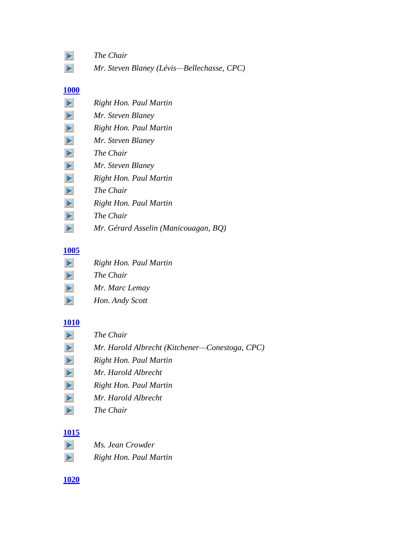- *The Chair*
	- *Mr. Steven Blaney (Lévis—Bellechasse, CPC)*

- $\blacktriangleright$ *Right Hon. Paul Martin*
- $\blacktriangleright$ *Mr. Steven Blaney*
- $\blacktriangleright$ *Right Hon. Paul Martin*
- $\blacktriangleright$ *Mr. Steven Blaney*
- $\blacktriangleright$ *The Chair*
- $\blacktriangleright$ *Mr. Steven Blaney*
- $\blacktriangleright$ *Right Hon. Paul Martin*
- $\blacktriangleright$ *The Chair*
- $\blacktriangleright$ *Right Hon. Paul Martin*
- $\blacktriangleright$  *The Chair*
	- *Mr. Gérard Asselin (Manicouagan, BQ)*

### **[1005](http://cmte.parl.gc.ca/Content/HOC/committee/391/aano/evidence/ev2499050/aanoev25-e.htm#T1005)**

 $\blacktriangleright$ 

- $\blacktriangleright$ *Right Hon. Paul Martin*
- $\blacktriangleright$ *The Chair*
- *Mr. Marc Lemay*
- $\blacktriangleright$ *Hon. Andy Scott*

#### **[1010](http://cmte.parl.gc.ca/Content/HOC/committee/391/aano/evidence/ev2499050/aanoev25-e.htm#T1010)**

- $\blacktriangleright$ *The Chair*
- $\blacktriangleright$ *Mr. Harold Albrecht (Kitchener—Conestoga, CPC)*
- $\blacktriangleright$ *Right Hon. Paul Martin*
- $\blacktriangleright$ *Mr. Harold Albrecht*
- Þ *Right Hon. Paul Martin*
- $\blacktriangleright$  *Mr. Harold Albrecht*
	- *The Chair*

## **[1015](http://cmte.parl.gc.ca/Content/HOC/committee/391/aano/evidence/ev2499050/aanoev25-e.htm#T1015)**

- *Ms. Jean Crowder*
- *Right Hon. Paul Martin*

## **[1020](http://cmte.parl.gc.ca/Content/HOC/committee/391/aano/evidence/ev2499050/aanoev25-e.htm#T1020)**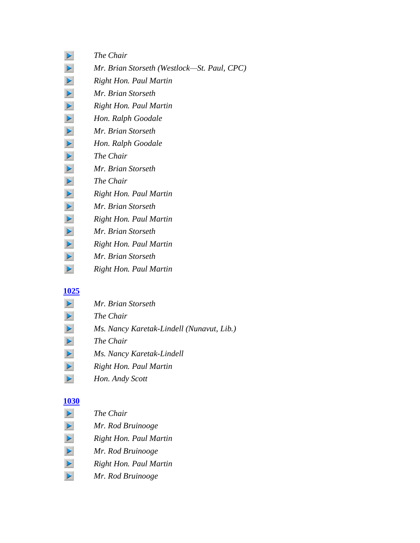- *The Chair*
- *Mr. Brian Storseth (Westlock—St. Paul, CPC)*
- *Right Hon. Paul Martin*
- $\blacktriangleright$  *Mr. Brian Storseth*
	- *Right Hon. Paul Martin*
- $\blacktriangleright$ *Hon. Ralph Goodale*
- $\blacktriangleright$ *Mr. Brian Storseth*
- $\blacktriangleright$ *Hon. Ralph Goodale*
- $\blacktriangleright$  *The Chair*
	- *Mr. Brian Storseth*
- $\blacktriangleright$ *The Chair*
- $\blacktriangleright$ *Right Hon. Paul Martin*
- $\blacktriangleright$ *Mr. Brian Storseth*
- *Right Hon. Paul Martin*
- $\blacktriangleright$ *Mr. Brian Storseth*
- $\blacktriangleright$ *Right Hon. Paul Martin*
- *Mr. Brian Storseth*
- *Right Hon. Paul Martin*

- $\blacktriangleright$  *Mr. Brian Storseth*
	- *The Chair*
	- *Ms. Nancy Karetak-Lindell (Nunavut, Lib.)*
	- *The Chair*
- $\blacktriangleright$ *Ms. Nancy Karetak-Lindell*
- *Right Hon. Paul Martin*
- *Hon. Andy Scott*

## **[1030](http://cmte.parl.gc.ca/Content/HOC/committee/391/aano/evidence/ev2499050/aanoev25-e.htm#T1030)**  $\blacktriangleright$

- *The Chair*
- $\blacktriangleright$ *Mr. Rod Bruinooge*
- $\blacktriangleright$ *Right Hon. Paul Martin*
- *Mr. Rod Bruinooge*
- *Right Hon. Paul Martin*
- *Mr. Rod Bruinooge*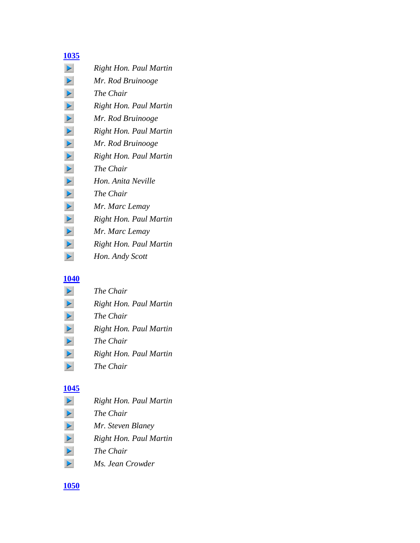- $\blacktriangleright$ *Right Hon. Paul Martin*
- $\blacktriangleright$ *Mr. Rod Bruinooge*
- $\blacktriangleright$ *The Chair*
- $\blacktriangleright$ *Right Hon. Paul Martin*
- $\blacktriangleright$ *Mr. Rod Bruinooge*
- $\blacktriangleright$ *Right Hon. Paul Martin*
- $\blacktriangleright$ *Mr. Rod Bruinooge*
- $\blacktriangleright$  *Right Hon. Paul Martin*
	- *The Chair*
- $\blacktriangleright$ *Hon. Anita Neville*
- $\blacktriangleright$ *The Chair*
- $\blacktriangleright$ *Mr. Marc Lemay*
- $\blacktriangleright$ *Right Hon. Paul Martin*
- $\blacktriangleright$ *Mr. Marc Lemay*
- *Right Hon. Paul Martin*
- $\blacktriangleright$ *Hon. Andy Scott*

## **[1040](http://cmte.parl.gc.ca/Content/HOC/committee/391/aano/evidence/ev2499050/aanoev25-e.htm#T1040)**

- $\blacktriangleright$ *The Chair*
- $\blacktriangleright$  *Right Hon. Paul Martin*
	- *The Chair*
- *Right Hon. Paul Martin*
- *The Chair*
- *Right Hon. Paul Martin*
- $\blacktriangleright$ *The Chair*

#### **[1045](http://cmte.parl.gc.ca/Content/HOC/committee/391/aano/evidence/ev2499050/aanoev25-e.htm#T1045)**

- $\blacktriangleright$ *Right Hon. Paul Martin*
- $\blacktriangleright$ *The Chair*
- *Mr. Steven Blaney*
- *Right Hon. Paul Martin*
- *The Chair*
- *Ms. Jean Crowder*

### **[1050](http://cmte.parl.gc.ca/Content/HOC/committee/391/aano/evidence/ev2499050/aanoev25-e.htm#T1050)**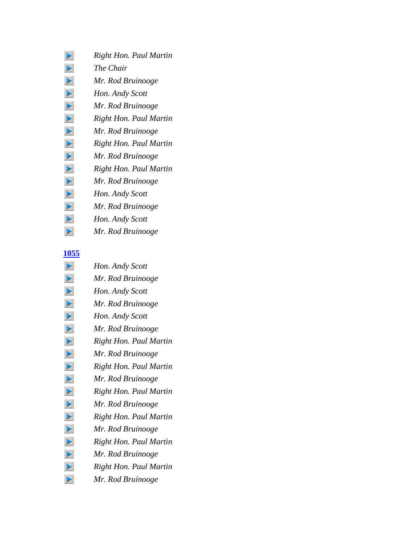- *Right Hon. Paul Martin*
	- *The Chair*
- *Mr. Rod Bruinooge*
- $\blacktriangleright$  *Hon. Andy Scott*
	- *Mr. Rod Bruinooge*
	- *Right Hon. Paul Martin*
	- *Mr. Rod Bruinooge*
	- *Right Hon. Paul Martin*
	- *Mr. Rod Bruinooge*
	- *Right Hon. Paul Martin*
- $\blacktriangleright$ *Mr. Rod Bruinooge*
- $\blacktriangleright$ *Hon. Andy Scott*
- $\blacktriangleright$  *Mr. Rod Bruinooge*
	- *Hon. Andy Scott*
	- *Mr. Rod Bruinooge*

 $\blacktriangleright$ Þ  $\blacktriangleright$  $\blacktriangleright$ Þ  $\blacktriangleright$  $\blacktriangleright$  $\blacktriangleright$ 

 $\blacktriangleright$ 

 $\blacktriangleright$ 

 $\blacktriangleright$  $\blacktriangleright$  $\blacktriangleright$ 

- $\blacktriangleright$ *Hon. Andy Scott*
- $\blacktriangleright$  *Mr. Rod Bruinooge*
	- *Hon. Andy Scott*
- $\blacktriangleright$  *Mr. Rod Bruinooge*
	- *Hon. Andy Scott*
	- *Mr. Rod Bruinooge*
	- *Right Hon. Paul Martin*
	- *Mr. Rod Bruinooge*
	- *Right Hon. Paul Martin*
	- *Mr. Rod Bruinooge*
	- *Right Hon. Paul Martin*
	- *Mr. Rod Bruinooge*
	- *Right Hon. Paul Martin*
	- *Mr. Rod Bruinooge*
	- *Right Hon. Paul Martin*
	- *Mr. Rod Bruinooge*
	- *Right Hon. Paul Martin*
	- *Mr. Rod Bruinooge*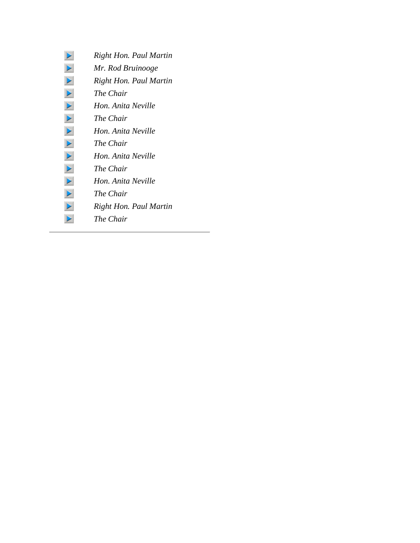- *Right Hon. Paul Martin*  $\blacktriangleright$
- $\blacktriangleright$ *Mr. Rod Bruinooge*
- Þ *Right Hon. Paul Martin*
- $\blacktriangleright$ *The Chair*
- $\blacktriangleright$ *Hon. Anita Neville*
- $\blacktriangleright$ *The Chair*
- $\blacktriangleright$ *Hon. Anita Neville*
- $\blacktriangleright$ *The Chair*
- $\blacktriangleright$ *Hon. Anita Neville*
- $\blacktriangleright$ *The Chair*
- $\blacktriangleright$ *Hon. Anita Neville*
- $\blacktriangleright$ *The Chair*
- *Right Hon. Paul Martin*
- *The Chair* $\blacktriangleright$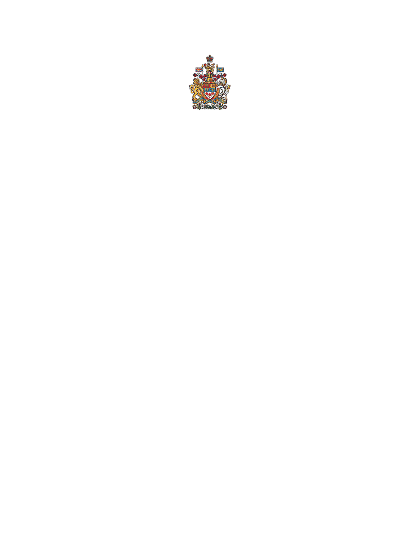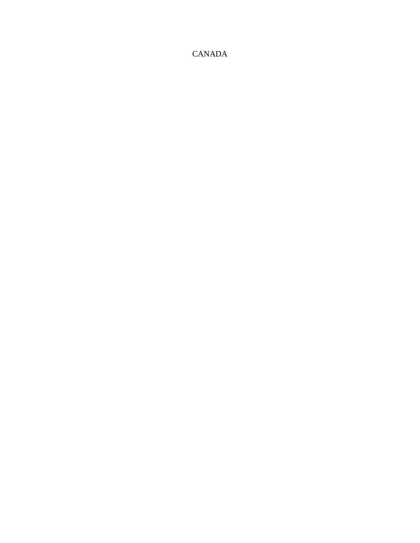CANADA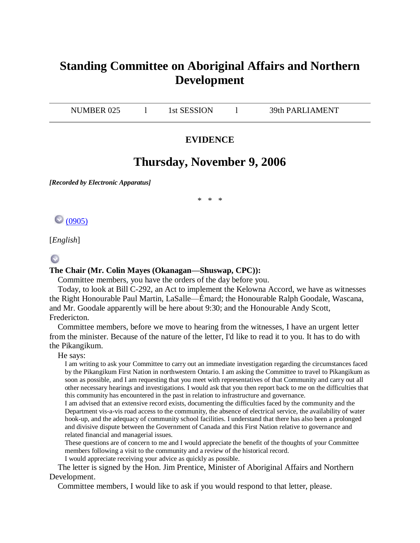# **Standing Committee on Aboriginal Affairs and Northern Development**

NUMBER 025 l 1st SESSION l 39th PARLIAMENT

## **EVIDENCE**

## **Thursday, November 9, 2006**

*[Recorded by Electronic Apparatus]*

\* \* \*

## $\bigcirc$  (0905)

[*English*]

#### $\bullet$

#### **The Chair (Mr. Colin Mayes (Okanagan—Shuswap, CPC)):**

Committee members, you have the orders of the day before you.

 Today, to look at Bill C-292, an Act to implement the Kelowna Accord, we have as witnesses the Right Honourable Paul Martin, LaSalle—Émard; the Honourable Ralph Goodale, Wascana, and Mr. Goodale apparently will be here about 9:30; and the Honourable Andy Scott, Fredericton.

 Committee members, before we move to hearing from the witnesses, I have an urgent letter from the minister. Because of the nature of the letter, I'd like to read it to you. It has to do with the Pikangikum.

He says:

I am writing to ask your Committee to carry out an immediate investigation regarding the circumstances faced by the Pikangikum First Nation in northwestern Ontario. I am asking the Committee to travel to Pikangikum as soon as possible, and I am requesting that you meet with representatives of that Community and carry out all other necessary hearings and investigations. I would ask that you then report back to me on the difficulties that this community has encountered in the past in relation to infrastructure and governance.

I am advised that an extensive record exists, documenting the difficulties faced by the community and the Department vis-a-vis road access to the community, the absence of electrical service, the availability of water hook-up, and the adequacy of community school facilities. I understand that there has also been a prolonged and divisive dispute between the Government of Canada and this First Nation relative to governance and related financial and managerial issues.

These questions are of concern to me and I would appreciate the benefit of the thoughts of your Committee members following a visit to the community and a review of the historical record.

I would appreciate receiving your advice as quickly as possible.

 The letter is signed by the Hon. Jim Prentice, Minister of Aboriginal Affairs and Northern Development.

Committee members, I would like to ask if you would respond to that letter, please.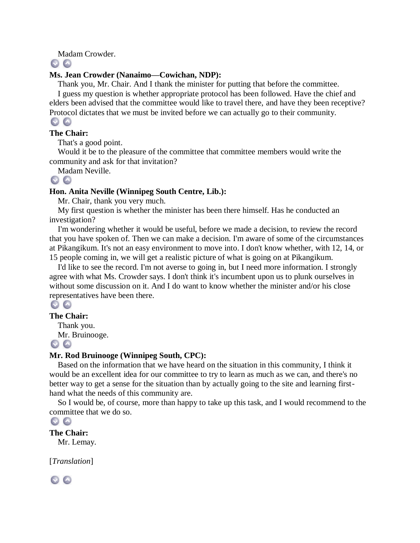[Mad](http://cmte.parl.gc.ca/Content/HOC/committee/391/aano/evidence/ev2499050/aanoev25-e.htm)am Crowder.

 $\odot$   $\odot$ 

#### **Ms. Jean Crowder (Nanaimo—Cowichan, NDP):**

 Thank you, Mr. Chair. And I thank the minister for putting that before the committee. I guess my question is whether appropriate protocol has been followed. Have the chief and elders been advised that the committee would like to travel there, and have they been receptive? Protocol dictates that we must be invited before we can actually go to their community.  $\bullet$ 

## **The Chair:**

That's a good point.

 Would it be to the pleasure of the committee that committee members would write the community and ask for that invitation?

Madam Neville.



#### **Hon. Anita Neville (Winnipeg South Centre, Lib.):**

Mr. Chair, thank you very much.

 My first question is whether the minister has been there himself. Has he conducted an investigation?

 I'm wondering whether it would be useful, before we made a decision, to review the record that you have spoken of. Then we can make a decision. I'm aware of some of the circumstances at Pikangikum. It's not an easy environment to move into. I don't know whether, with 12, 14, or 15 people coming in, we will get a realistic picture of what is going on at Pikangikum.

 I'd like to see the record. I'm not averse to going in, but I need more information. I strongly agree with what Ms. Crowder says. I don't think it's incumbent upon us to plunk ourselves in without some discussion on it. And I do want to know whether the minister and/or his close representatives have been there.

## $\odot$   $\odot$

**The Chair:**  Thank you.

Mr. Bruinooge.

 $\bullet$   $\bullet$ 

#### **Mr. Rod Bruinooge (Winnipeg South, CPC):**

 Based on the information that we have heard on the situation in this community, I think it would be an excellent idea for our committee to try to learn as much as we can, and there's no better way to get a sense for the situation than by actually going to the site and learning firsthand what the needs of this community are.

 So I would be, of course, more than happy to take up this task, and I would recommend to the committee that we do so.

## $\bullet$

**The Chair:** 

Mr. Lemay.

[*Translation*]

## $\odot$   $\odot$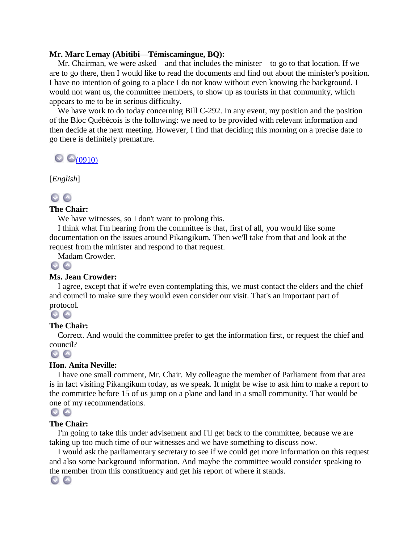#### **Mr. Marc Lemay (Abitibi—Témiscamingue, BQ):**

 Mr. Chairman, we were asked—and that includes the minister—to go to that location. If we are to go there, then I would like to read the documents and find out about the minister's position. I have no intention of going to a place I do not know without even knowing the background. I would not want us, the committee members, to show up as tourists in that community, which appears to me to be in serious difficulty.

 We have work to do today concerning Bill C-292. In any event, my position and the position of the Bloc Québécois is the following: we need to be provided with relevant information and then decide at the next meeting. However, I find that deciding this morning on a precise date to go there is definitely premature.

 $\odot$   $\odot$  (0910)

[*English*]



#### **The Chair:**

We have witnesses, so I don't want to prolong this.

 I think what I'm hearing from the committee is that, first of all, you would like some documentation on the issues around Pikangikum. Then we'll take from that and look at the request from the minister and respond to that request.

Madam Crowder.

 $\odot$   $\odot$ 

#### **Ms. Jean Crowder:**

 I agree, except that if we're even contemplating this, we must contact the elders and the chief and council to make sure they would even consider our visit. That's an important part of protocol.

#### $\odot$   $\odot$

#### **The Chair:**

 Correct. And would the committee prefer to get the information first, or request the chief and [council](http://cmte.parl.gc.ca/Content/HOC/committee/391/aano/evidence/ev2499050/aanoev25-e.htm)?

## $\odot$   $\odot$

#### **Hon. Anita Neville:**

 I have one small comment, Mr. Chair. My colleague the member of Parliament from that area is in fact visiting Pikangikum today, as we speak. It might be wise to ask him to make a report to the committee before 15 of us jump on a plane and land in a small community. That would be one of my recommendations.

## $\odot$   $\odot$

## **The Chair:**

 I'm going to take this under advisement and I'll get back to the committee, because we are taking up too much time of our witnesses and we have something to discuss now.

 I would ask the parliamentary secretary to see if we could get more information on this request and also some background information. And maybe the committee would consider speaking to the member from this constituency and get his report of where it stands.

 $\odot$   $\odot$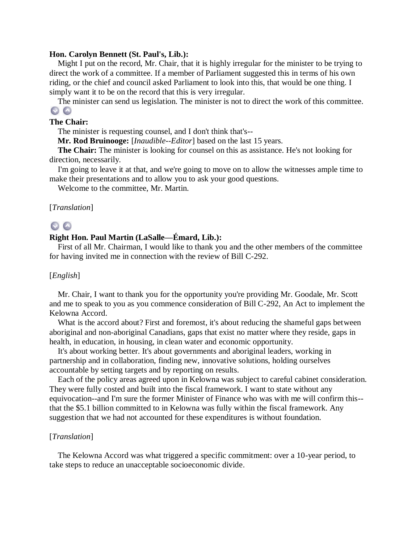#### **Hon. Carolyn Bennett (St. Paul's, Lib.):**

 Might I put on the record, Mr. Chair, that it is highly irregular for the minister to be trying to direct the work of a committee. If a member of Parliament suggested this in terms of his own riding, or the chief and council asked Parliament to look into this, that would be one thing. I simply want it to be on the record that this is very irregular.

 The minister can send us legislation. The minister is not to direct the work of this committee.  $\odot$   $\odot$ 

#### **The Chair:**

The minister is requesting counsel, and I don't think that's--

**Mr. Rod Bruinooge:** [*Inaudible--Editor*] based on the last 15 years.

 **The Chair:** The minister is looking for counsel on this as assistance. He's not looking for direction, necessarily.

 I'm going to leave it at that, and we're going to move on to allow the witnesses ample time to make their presentations and to allow you to ask your good questions.

Welcome to the committee, Mr. Martin.

#### [*Translation*]

## $\odot$   $\odot$

#### **Right Hon. Paul Martin (LaSalle—Émard, Lib.):**

 First of all Mr. Chairman, I would like to thank you and the other members of the committee for having invited me in connection with the review of Bill C-292.

#### [*English*]

 Mr. Chair, I want to thank you for the opportunity you're providing Mr. Goodale, Mr. Scott and me to speak to you as you commence consideration of Bill C-292, An Act to implement the Kelowna Accord.

 What is the accord about? First and foremost, it's about reducing the shameful gaps between aboriginal and non-aboriginal Canadians, gaps that exist no matter where they reside, gaps in health, in education, in housing, in clean water and economic opportunity.

 It's about working better. It's about governments and aboriginal leaders, working in partnership and in collaboration, finding new, innovative solutions, holding ourselves accountable by setting targets and by reporting on results.

 Each of the policy areas agreed upon in Kelowna was subject to careful cabinet consideration. They were fully costed and built into the fiscal framework. I want to state without any equivocation--and I'm sure the former Minister of Finance who was with me will confirm this- that the \$5.1 billion committed to in Kelowna was fully within the fiscal framework. Any suggestion that we had not accounted for these expenditures is without foundation.

#### [*Translation*]

 The Kelowna Accord was what triggered a specific commitment: over a 10-year period, to take steps to reduce an unacceptable socioeconomic divide.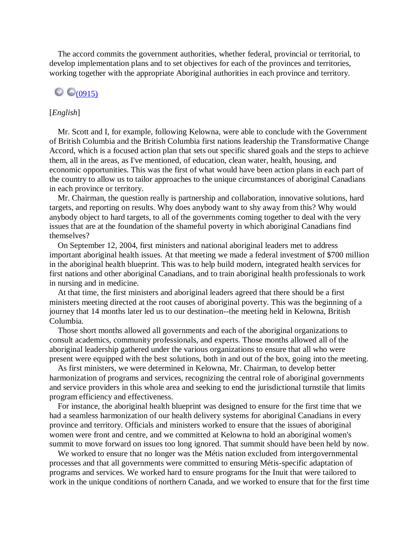The accord commits the government authorities, whether federal, provincial or territorial, to develop implementation plans and to set objectives for each of the provinces and territories, working together with the appropriate Aboriginal authorities in each province and territory.

## $\odot$   $\odot$  (0915)

#### [*English*]

 Mr. Scott and I, for example, following Kelowna, were able to conclude with the Government of British Columbia and the British Columbia first nations leadership the Transformative Change Accord, which is a focused action plan that sets out specific shared goals and the steps to achieve them, all in the areas, as I've mentioned, of education, clean water, health, housing, and economic opportunities. This was the first of what would have been action plans in each part of the country to allow us to tailor approaches to the unique circumstances of aboriginal Canadians in each province or territory.

 Mr. Chairman, the question really is partnership and collaboration, innovative solutions, hard targets, and reporting on results. Why does anybody want to shy away from this? Why would anybody object to hard targets, to all of the governments coming together to deal with the very issues that are at the foundation of the shameful poverty in which aboriginal Canadians find themselves?

 On September 12, 2004, first ministers and national aboriginal leaders met to address important aboriginal health issues. At that meeting we made a federal investment of \$700 million in the aboriginal health blueprint. This was to help build modern, integrated health services for first nations and other aboriginal Canadians, and to train aboriginal health professionals to work in nursing and in medicine.

 At that time, the first ministers and aboriginal leaders agreed that there should be a first ministers meeting directed at the root causes of aboriginal poverty. This was the beginning of a journey that 14 months later led us to our destination--the meeting held in Kelowna, British Columbia.

 Those short months allowed all governments and each of the aboriginal organizations to consult academics, community professionals, and experts. Those months allowed all of the aboriginal leadership gathered under the various organizations to ensure that all who were present were equipped with the best solutions, both in and out of the box, going into the meeting.

 As first ministers, we were determined in Kelowna, Mr. Chairman, to develop better harmonization of programs and services, recognizing the central role of aboriginal governments and service providers in this whole area and seeking to end the jurisdictional turnstile that limits program efficiency and effectiveness.

 For instance, the aboriginal health blueprint was designed to ensure for the first time that we had a seamless harmonization of our health delivery systems for aboriginal Canadians in every province and territory. Officials and ministers worked to ensure that the issues of aboriginal women were front and centre, and we committed at Kelowna to hold an aboriginal women's summit to move forward on issues too long ignored. That summit should have been held by now.

We worked to ensure that no longer was the Métis nation excluded from intergovernmental processes and that all governments were committed to ensuring Métis-specific adaptation of programs and services. We worked hard to ensure programs for the Inuit that were tailored to work in the unique conditions of northern Canada, and we worked to ensure that for the first time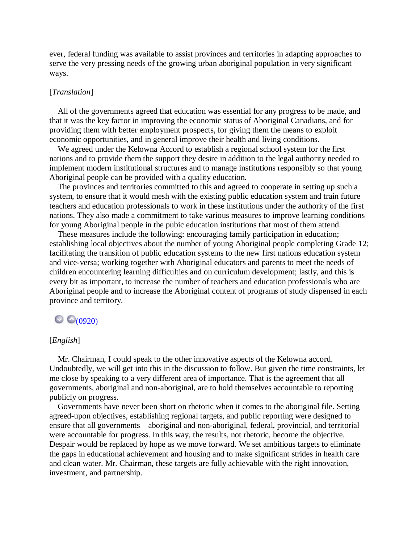ever, federal funding was available to assist provinces and territories in adapting approaches to serve the very pressing needs of the growing urban aboriginal population in very significant ways.

#### [*Translation*]

 All of the governments agreed that education was essential for any progress to be made, and that it was the key factor in improving the economic status of Aboriginal Canadians, and for providing them with better employment prospects, for giving them the means to exploit economic opportunities, and in general improve their health and living conditions.

 We agreed under the Kelowna Accord to establish a regional school system for the first nations and to provide them the support they desire in addition to the legal authority needed to implement modern institutional structures and to manage institutions responsibly so that young Aboriginal people can be provided with a quality education.

 The provinces and territories committed to this and agreed to cooperate in setting up such a system, to ensure that it would mesh with the existing public education system and train future teachers and education professionals to work in these institutions under the authority of the first nations. They also made a commitment to take various measures to improve learning conditions for young Aboriginal people in the pubic education institutions that most of them attend.

 These measures include the following: encouraging family participation in education; establishing local objectives about the number of young Aboriginal people completing Grade 12; facilitating the transition of public education systems to the new first nations education system and vice-versa; working together with Aboriginal educators and parents to meet the needs of children encountering learning difficulties and on curriculum development; lastly, and this is every bit as important, to increase the number of teachers and education professionals who are Aboriginal people and to increase the Aboriginal content of programs of study dispensed in each province and territory.

## $\odot$   $\odot$  (0920)

#### [*English*]

 Mr. Chairman, I could speak to the other innovative aspects of the Kelowna accord. Undoubtedly, we will get into this in the discussion to follow. But given the time constraints, let me close by speaking to a very different area of importance. That is the agreement that all governments, aboriginal and non-aboriginal, are to hold themselves accountable to reporting publicly on progress.

 Governments have never been short on rhetoric when it comes to the aboriginal file. Setting agreed-upon objectives, establishing regional targets, and public reporting were designed to ensure that all governments—aboriginal and non-aboriginal, federal, provincial, and territorial were accountable for progress. In this way, the results, not rhetoric, become the objective. Despair would be replaced by hope as we move forward. We set ambitious targets to eliminate the gaps in educational achievement and housing and to make significant strides in health care and clean water. Mr. Chairman, these targets are fully achievable with the right innovation, investment, and partnership.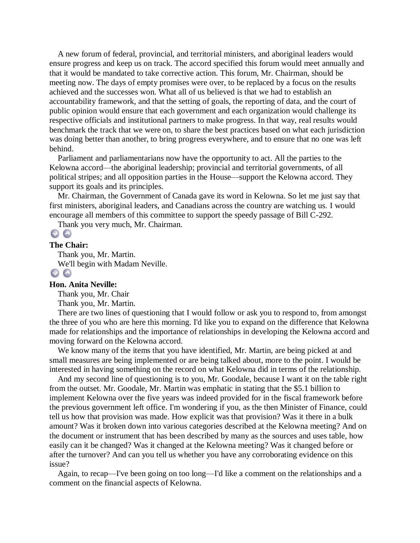A new forum of federal, provincial, and territorial ministers, and aboriginal leaders would ensure progress and keep us on track. The accord specified this forum would meet annually and that it would be mandated to take corrective action. This forum, Mr. Chairman, should be meeting now. The days of empty promises were over, to be replaced by a focus on the results achieved and the successes won. What all of us believed is that we had to establish an accountability framework, and that the setting of goals, the reporting of data, and the court of public opinion would ensure that each government and each organization would challenge its respective officials and institutional partners to make progress. In that way, real results would benchmark the track that we were on, to share the best practices based on what each jurisdiction was doing better than another, to bring progress everywhere, and to ensure that no one was left behind.

 Parliament and parliamentarians now have the opportunity to act. All the parties to the Kelowna accord—the aboriginal leadership; provincial and territorial governments, of all political stripes; and all opposition parties in the House—support the Kelowna accord. They support its goals and its principles.

 Mr. Chairman, the Government of Canada gave its word in Kelowna. So let me just say that first ministers, aboriginal leaders, and Canadians across the country are watching us. I would encourage all members of this committee to support the speedy passage of Bill C-292.

Thank you very much, Mr. Chairman.

## $\circ$

#### **The Chair:**

 Thank you, Mr. Martin. We'll begin with Madam Neville.  $\bullet$ 

#### **Hon. Anita Neville:**

Thank you, Mr. Chair

Thank you, Mr. Martin.

 There are two lines of questioning that I would follow or ask you to respond to, from amongst the three of you who are here this morning. I'd like you to expand on the difference that Kelowna made for relationships and the importance of relationships in developing the Kelowna accord and moving forward on the Kelowna accord.

 We know many of the items that you have identified, Mr. Martin, are being picked at and small measures are being implemented or are being talked about, more to the point. I would be interested in having something on the record on what Kelowna did in terms of the relationship.

 And my second line of questioning is to you, Mr. Goodale, because I want it on the table right from the outset. Mr. Goodale, Mr. Martin was emphatic in stating that the \$5.1 billion to implement Kelowna over the five years was indeed provided for in the fiscal framework before the previous government left office. I'm wondering if you, as the then Minister of Finance, could tell us how that provision was made. How explicit was that provision? Was it there in a bulk amount? Was it broken down into various categories described at the Kelowna meeting? And on the document or instrument that has been described by many as the sources and uses table, how easily can it be changed? Was it changed at the Kelowna meeting? Was it changed before or after the turnover? And can you tell us whether you have any corroborating evidence on this issue?

 Again, to recap—I've been going on too long—I'd like a comment on the relationships and a comment on the financial aspects of Kelowna.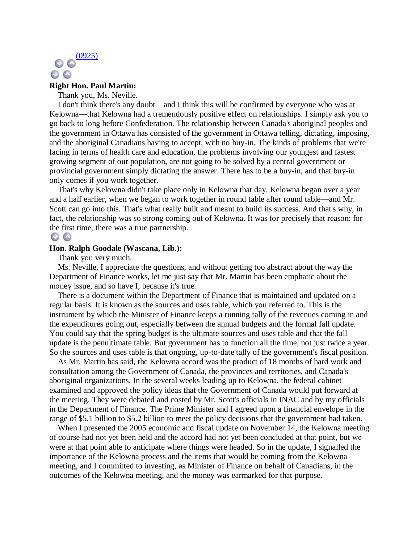

#### **Right Hon. Paul Martin:**

Thank you, Ms. Neville.

 I don't think there's any doubt—and I think this will be confirmed by everyone who was at Kelowna—that Kelowna had a tremendously positive effect on relationships. I simply ask you to go back to long before Confederation. The relationship between Canada's aboriginal peoples and the government in Ottawa has consisted of the government in Ottawa telling, dictating, imposing, and the aboriginal Canadians having to accept, with no buy-in. The kinds of problems that we're facing in terms of health care and education, the problems involving our youngest and fastest growing segment of our population, are not going to be solved by a central government or provincial government simply dictating the answer. There has to be a buy-in, and that buy-in only comes if you work together.

 That's why Kelowna didn't take place only in Kelowna that day. Kelowna began over a year and a half earlier, when we began to work together in round table after round table—and Mr. Scott can go into this. That's what really built and meant to build its success. And that's why, in fact, the relationship was so strong coming out of Kelowna. It was for precisely that reason: for the first time, there was a true partnership.

## $\odot$   $\odot$

### **Hon. Ralph Goodale (Wascana, Lib.):**

Thank you very much.

 Ms. Neville, I appreciate the questions, and without getting too abstract about the way the Department of Finance works, let me just say that Mr. Martin has been emphatic about the money issue, and so have I, because it's true.

 There is a document within the Department of Finance that is maintained and updated on a regular basis. It is known as the sources and uses table, which you referred to. This is the instrument by which the Minister of Finance keeps a running tally of the revenues coming in and the expenditures going out, especially between the annual budgets and the formal fall update. You could say that the spring budget is the ultimate sources and uses table and that the fall update is the penultimate table. But government has to function all the time, not just twice a year. So the sources and uses table is that ongoing, up-to-date tally of the government's fiscal position.

 As Mr. Martin has said, the Kelowna accord was the product of 18 months of hard work and consultation among the Government of Canada, the provinces and territories, and Canada's aboriginal organizations. In the several weeks leading up to Kelowna, the federal cabinet examined and approved the policy ideas that the Government of Canada would put forward at the meeting. They were debated and costed by Mr. Scott's officials in INAC and by my officials in the Department of Finance. The Prime Minister and I agreed upon a financial envelope in the range of \$5.1 billion to \$5.2 billion to meet the policy decisions that the government had taken.

 When I presented the 2005 economic and fiscal update on November 14, the Kelowna meeting of course had not yet been held and the accord had not yet been concluded at that point, but we were at that point able to anticipate where things were headed. So in the update, I signalled the importance of the Kelowna process and the items that would be coming from the Kelowna meeting, and I committed to investing, as Minister of Finance on behalf of Canadians, in the outcomes of the Kelowna meeting, and the money was earmarked for that purpose.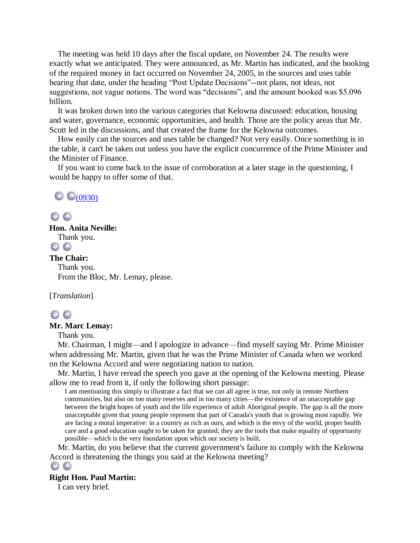The meeting was held 10 days after the fiscal update, on November 24. The results were exactly what we anticipated. They were announced, as Mr. Martin has indicated, and the booking of the required money in fact occurred on November 24, 2005, in the sources and uses table bearing that date, under the heading "Post Update Decisions"--not plans, not ideas, not suggestions, not vague notions. The word was "decisions", and the amount booked was \$5.096 billion.

 It was broken down into the various categories that Kelowna discussed: education, housing and water, governance, economic opportunities, and health. Those are the policy areas that Mr. Scott led in the discussions, and that created the frame for the Kelowna outcomes.

 How easily can the sources and uses table be changed? Not very easily. Once something is in the table, it can't be taken out unless you have the explicit concurrence of the Prime Minister and the Minister of Finance.

 If you want to come back to the issue of corroboration at a later stage in the questioning, I would be happy to offer some of that.

 $\odot$   $\odot$  (0930)

## $\odot$   $\odot$

**Hon. Anita Neville:**  Thank you.  $\odot$   $\odot$ 

#### **The Chair:**

 Thank you. From the Bloc, Mr. Lemay, please.

[*Translation*]

## $\bullet$

#### **Mr. Marc Lemay:**

Thank you.

 Mr. Chairman, I might—and I apologize in advance—find myself saying Mr. Prime Minister when addressing Mr. Martin, given that he was the Prime Minister of Canada when we worked on the Kelowna Accord and were negotiating nation to nation.

 Mr. Martin, I have reread the speech you gave at the opening of the Kelowna meeting. Please allow me to read from it, if only the following short passage:

I am mentioning this simply to illustrate a fact that we can all agree is true, not only in remote Northern communities, but also on too many reserves and in too many cities—the existence of an unacceptable gap between the bright hopes of youth and the life experience of adult Aboriginal people. The gap is all the more unacceptable given that young people represent that part of Canada's youth that is growing most rapidly. We are facing a moral imperative: in a country as rich as ours, and which is the envy of the world, proper health care and a good education ought to be taken for granted; they are the tools that make equality of opportunity possible—which is the very foundation upon which our society is built.

 Mr. Martin, do you believe that the current government's failure to comply with the Kelowna Accord is threatening the things you said at the Kelowna meeting?

## $\odot$   $\odot$

#### **Right Hon. Paul Martin:**

I can very brief.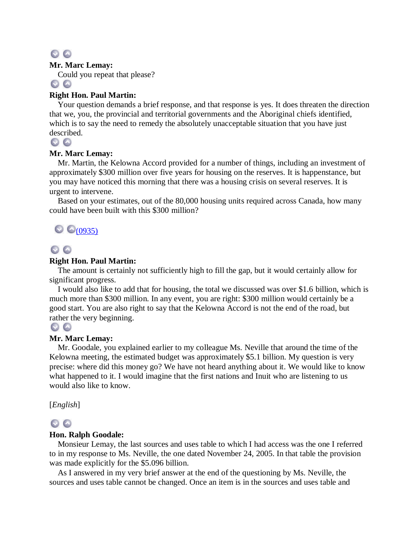## $\odot$   $\odot$

#### **Mr. Marc Lemay:**

 [Coul](http://cmte.parl.gc.ca/Content/HOC/committee/391/aano/evidence/ev2499050/aanoev25-e.htm)d you repeat that please?

 $\bullet$ 

### **Right Hon. Paul Martin:**

 Your question demands a brief response, and that response is yes. It does threaten the direction that we, you, the provincial and territorial governments and the Aboriginal chiefs identified, which is to say the need to remedy the absolutely unacceptable situation that you have just described.

## $\odot$   $\odot$

#### **Mr. Marc Lemay:**

 Mr. Martin, the Kelowna Accord provided for a number of things, including an investment of approximately \$300 million over five years for housing on the reserves. It is happenstance, but you may have noticed this morning that there was a housing crisis on several reserves. It is urgent to intervene.

 Based on your estimates, out of the 80,000 housing units required across Canada, how many could have been built with this \$300 million?

 $\odot$   $\odot$  (0935)

## $\odot$   $\odot$

#### **Right Hon. Paul Martin:**

 The amount is certainly not sufficiently high to fill the gap, but it would certainly allow for significant progress.

 I would also like to add that for housing, the total we discussed was over \$1.6 billion, which is much more than \$300 million. In any event, you are right: \$300 million would certainly be a good start. You are also right to say that the Kelowna Accord is not the end of the road, but rather the very beginning.

## $\odot$   $\odot$

#### **Mr. Marc Lemay:**

 Mr. Goodale, you explained earlier to my colleague Ms. Neville that around the time of the Kelowna meeting, the estimated budget was approximately \$5.1 billion. My question is very precise: where did this money go? We have not heard anything about it. We would like to know what happened to it. I would imagine that the first nations and Inuit who are listening to us would also like to know.

[*English*]

## $\odot$   $\odot$

#### **Hon. Ralph Goodale:**

 Monsieur Lemay, the last sources and uses table to which I had access was the one I referred to in my response to Ms. Neville, the one dated November 24, 2005. In that table the provision was made explicitly for the \$5.096 billion.

 As I answered in my very brief answer at the end of the questioning by Ms. Neville, the sources and uses table cannot be changed. Once an item is in the sources and uses table and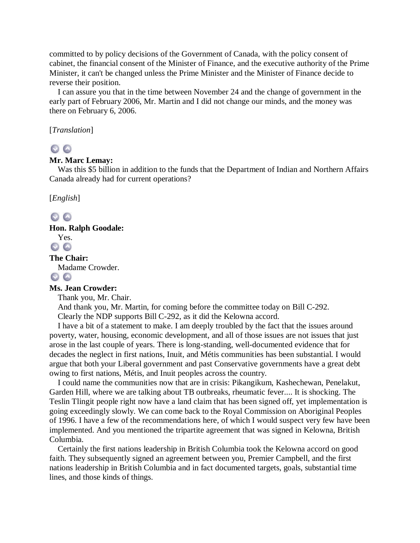committed to by policy decisions of the Government of Canada, with the policy consent of cabinet, the financial consent of the Minister of Finance, and the executive authority of the Prime Minister, it can't be changed unless the Prime Minister and the Minister of Finance decide to reverse their position.

 I can assure you that in the time between November 24 and the change of government in the early part of February 2006, Mr. Martin and I did not change our minds, and the money was there on February 6, 2006.

[*Translation*]

## $\odot$   $\odot$

#### **Mr. Marc Lemay:**

 Was this \$5 billion in addition to the funds that the Department of Indian and Northern Affairs Canada already had for current operations?

[*English*]

## $\odot$   $\odot$

**Hon. Ralph Goodale:** 

 Yes.  $\odot$   $\odot$ 

**The Chair:** 

Madame Crowder.

 $\bullet$ 

#### **Ms. Jean Crowder:**

Thank you, Mr. Chair.

And thank you, Mr. Martin, for coming before the committee today on Bill C-292.

Clearly the NDP supports Bill C-292, as it did the Kelowna accord.

 I have a bit of a statement to make. I am deeply troubled by the fact that the issues around poverty, water, housing, economic development, and all of those issues are not issues that just arose in the last couple of years. There is long-standing, well-documented evidence that for decades the neglect in first nations, Inuit, and Métis communities has been substantial. I would argue that both your Liberal government and past Conservative governments have a great debt owing to first nations, Métis, and Inuit peoples across the country.

 I could name the communities now that are in crisis: Pikangikum, Kashechewan, Penelakut, Garden Hill, where we are talking about TB outbreaks, rheumatic fever.... It is shocking. The Teslin Tlingit people right now have a land claim that has been signed off, yet implementation is going exceedingly slowly. We can come back to the Royal Commission on Aboriginal Peoples of 1996. I have a few of the recommendations here, of which I would suspect very few have been implemented. And you mentioned the tripartite agreement that was signed in Kelowna, British Columbia.

 Certainly the first nations leadership in British Columbia took the Kelowna accord on good faith. They subsequently signed an agreement between you, Premier Campbell, and the first nations leadership in British Columbia and in fact documented targets, goals, substantial time lines, and those kinds of things.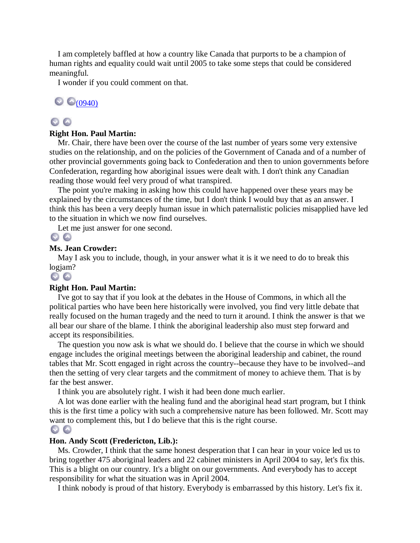I am completely baffled at how a country like Canada that purports to be a champion of human rights and equality could wait until 2005 to take some steps that could be considered meaningful.

I wonder if you could comment on that.

## $\odot$   $\odot$  (0940)

## $\bullet$

## **Right Hon. Paul Martin:**

 Mr. Chair, there have been over the course of the last number of years some very extensive studies on the relationship, and on the policies of the Government of Canada and of a number of other provincial governments going back to Confederation and then to union governments before Confederation, regarding how aboriginal issues were dealt with. I don't think any Canadian reading those would feel very proud of what transpired.

 The point you're making in asking how this could have happened over these years may be explained by the circumstances of the time, but I don't think I would buy that as an answer. I think this has been a very deeply human issue in which paternalistic policies misapplied have led to the situation in which we now find ourselves.

Let me just answer for one second.

## $\circ$

#### **Ms. Jean Crowder:**

 May I ask you to include, though, in your answer what it is it we need to do to break this logjam?

#### $\odot$   $\odot$

#### **Right Hon. Paul Martin:**

 I've got to say that if you look at the debates in the House of Commons, in which all the political parties who have been here historically were involved, you find very little debate that really focused on the human tragedy and the need to turn it around. I think the answer is that we all bear our share of the blame. I think the aboriginal leadership also must step forward and accept its responsibilities.

 The question you now ask is what we should do. I believe that the course in which we should engage includes the original meetings between the aboriginal leadership and cabinet, the round tables that Mr. Scott engaged in right across the country--because they have to be involved--and then the setting of very clear targets and the commitment of money to achieve them. That is by far the best answer.

I think you are absolutely right. I wish it had been done much earlier.

 A lot was done earlier with the healing fund and the aboriginal head start program, but I think this is the first time a policy with such a comprehensive nature has been followed. Mr. Scott may want to complement this, but I do believe that this is the right course.  $\bullet$ 

#### **Hon. Andy Scott (Fredericton, Lib.):**

 Ms. Crowder, I think that the same honest desperation that I can hear in your voice led us to bring together 475 aboriginal leaders and 22 cabinet ministers in April 2004 to say, let's fix this. This is a blight on our country. It's a blight on our governments. And everybody has to accept responsibility for what the situation was in April 2004.

I think nobody is proud of that history. Everybody is embarrassed by this history. Let's fix it.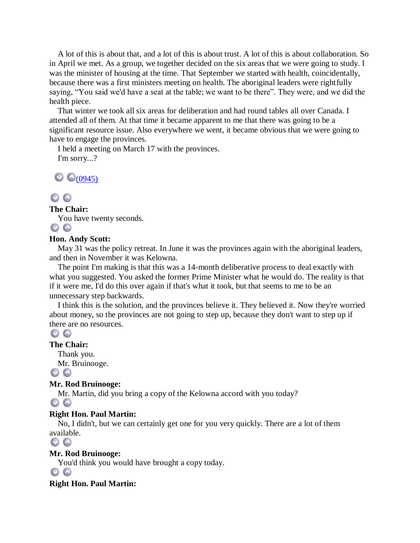A lot of this is about that, and a lot of this is about trust. A lot of this is about collaboration. So in April we met. As a group, we together decided on the six areas that we were going to study. I was the minister of housing at the time. That September we started with health, coincidentally, because there was a first ministers meeting on health. The aboriginal leaders were rightfully saying, "You said we'd have a seat at the table; we want to be there". They were, and we did the health piece.

 That winter we took all six areas for deliberation and had round tables all over Canada. I attended all of them. At that time it became apparent to me that there was going to be a significant resource issue. Also everywhere we went, it became obvious that we were going to have to engage the provinces.

 I held a meeting on March 17 with the provinces. I'm sorry...?

 $\odot$   $\odot$  (0945)

## $\odot$   $\odot$

**The Chair:**  You have twenty seconds.  $\odot$   $\odot$ 

## **Hon. Andy Scott:**

 May 31 was the policy retreat. In June it was the provinces again with the aboriginal leaders, and then in November it was Kelowna.

 The point I'm making is that this was a 14-month deliberative process to deal exactly with what you suggested. You asked the former Prime Minister what he would do. The reality is that if it were me, I'd do this over again if that's what it took, but that seems to me to be an unnecessary step backwards.

 I think this is the solution, and the provinces believe it. They believed it. Now they're worried about money, so the provinces are not going to step up, because they don't want to step up if there are no resources.

 $\odot$   $\odot$ 

## **The Chair:**

 Thank you. Mr. Bruinooge.  $\odot$   $\odot$ 

## **Mr. Rod Bruinooge:**

 [Mr. M](http://cmte.parl.gc.ca/Content/HOC/committee/391/aano/evidence/ev2499050/aanoev25-e.htm)artin, did you bring a copy of the Kelowna accord with you today?  $\bullet$ 

## **Right Hon. Paul Martin:**

 No, I didn't, but we can certainly get one for you very quickly. There are a lot of them available.

 $\odot$   $\odot$ 

## **Mr. Rod Bruinooge:**

You'd think you would have brought a copy today.

 $\circ$   $\circ$ 

## **Right Hon. Paul Martin:**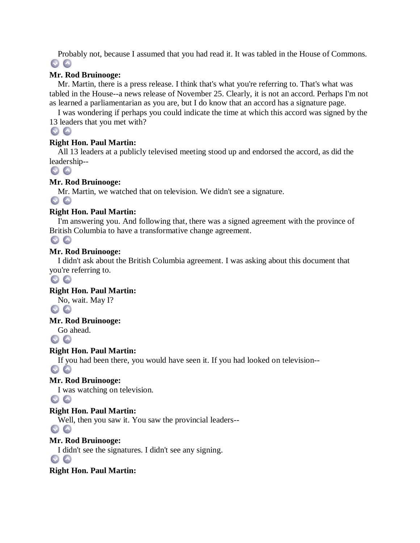[Prob](http://cmte.parl.gc.ca/Content/HOC/committee/391/aano/evidence/ev2499050/aanoev25-e.htm)ably not, because I assumed that you had read it. It was tabled in the House of Commons.  $\bullet$ 

## **Mr. Rod Bruinooge:**

 Mr. Martin, there is a press release. I think that's what you're referring to. That's what was tabled in the House--a news release of November 25. Clearly, it is not an accord. Perhaps I'm not as learned a parliamentarian as you are, but I do know that an accord has a signature page.

 I was wondering if perhaps you could indicate the time at which this accord was signed by the 13 leaders that you met with?

## $\bullet$

### **Right Hon. Paul Martin:**

 All 13 leaders at a publicly televised meeting stood up and endorsed the accord, as did the leadership--

 $\odot$   $\odot$ 

## **Mr. Rod Bruinooge:**

Mr. Martin, we watched that on television. We didn't see a signature.

### $\odot$   $\odot$

## **Right Hon. Paul Martin:**

 I'm answering you. And following that, there was a signed agreement with the province of British Columbia to have a transformative change agreement.

 $\odot$   $\odot$ 

## **Mr. Rod Bruinooge:**

 I didn't ask about the British Columbia agreement. I was asking about this document that you're referring to.

 $\odot$   $\odot$ 

## **Right Hon. Paul Martin:**

 [No, w](http://cmte.parl.gc.ca/Content/HOC/committee/391/aano/evidence/ev2499050/aanoev25-e.htm)ait. May I?

 $\circ$ 

## **Mr. Rod Bruinooge:**

Go ahead.

 $\odot$   $\odot$ 

## **Right Hon. Paul Martin:**

If you had been there, you would have seen it. If you had looked on television--

 $\bullet$ 

## **Mr. Rod Bruinooge:**

 [I wa](http://cmte.parl.gc.ca/Content/HOC/committee/391/aano/evidence/ev2499050/aanoev25-e.htm)s watching on television.

 $\odot$   $\odot$ 

## **Right Hon. Paul Martin:**

 Well, then you saw it. You saw the provincial leaders--  $\odot$   $\odot$ 

## **Mr. Rod Bruinooge:**

I didn't see the signatures. I didn't see any signing.

 $\odot$   $\odot$ 

## **Right Hon. Paul Martin:**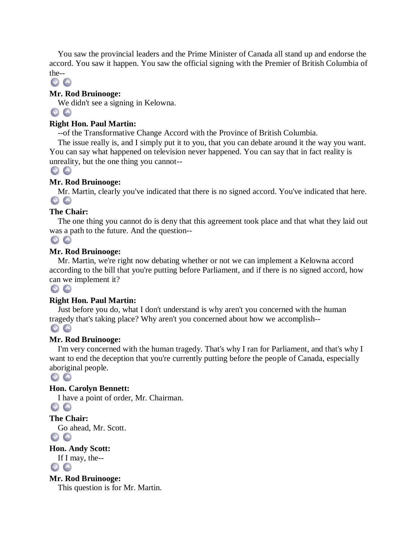You saw the provincial leaders and the Prime Minister of Canada all stand up and endorse the accord. You saw it happen. You saw the official signing with the Premier of British Columbia of the--

 $\odot$   $\odot$ 

## **Mr. Rod Bruinooge:**

 We didn't see a signing in Kelowna.  $\bullet$ 

## **Right Hon. Paul Martin:**

--of the Transformative Change Accord with the Province of British Columbia.

 The issue really is, and I simply put it to you, that you can debate around it the way you want. You can say what happened on television never happened. You can say that in fact reality is unreality, but the one thing you cannot--

 $\odot$   $\odot$ 

## **Mr. Rod Bruinooge:**

 Mr. Martin, clearly you've indicated that there is no signed accord. You've indicated that here.  $\odot$   $\odot$ 

## **The Chair:**

 The one thing you cannot do is deny that this agreement took place and that what they laid out was a path to the future. And the question--

 $\circ$ 

## **Mr. Rod Bruinooge:**

 Mr. Martin, we're right now debating whether or not we can implement a Kelowna accord according to the bill that you're putting before Parliament, and if there is no signed accord, how can we implement it?

## $\odot$   $\odot$

## **Right Hon. Paul Martin:**

 Just before you do, what I don't understand is why aren't you concerned with the human tragedy that's taking place? Why aren't you concerned about how we accomplish--  $\odot$   $\odot$ 

## **Mr. Rod Bruinooge:**

 I'm very concerned with the human tragedy. That's why I ran for Parliament, and that's why I want to end the deception that you're currently putting before the people of Canada, especially aboriginal people.

 $\odot$   $\odot$ 

## **Hon. Carolyn Bennett:**

 I have a point of order, Mr. Chairman.  $\odot$   $\odot$ 

## **The Chair:**

Go ahead, Mr. Scott.

 $\bullet$ 

## **Hon. Andy Scott:**

 [If I m](http://cmte.parl.gc.ca/Content/HOC/committee/391/aano/evidence/ev2499050/aanoev25-e.htm)ay, the--  $\bullet$ 

**Mr. Rod Bruinooge:** 

This question is for Mr. Martin.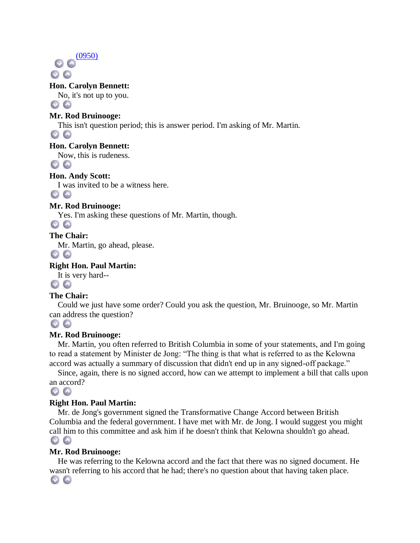$\odot$  (0950)

 $\bullet$ 

#### **Hon. Carolyn Bennett:**

 [No, i](http://cmte.parl.gc.ca/Content/HOC/committee/391/aano/evidence/ev2499050/aanoev25-e.htm)t's not up to you.

 $\bullet$   $\bullet$ 

## **Mr. Rod Bruinooge:**

This isn't question period; this is answer period. I'm asking of Mr. Martin.

 $\bullet$ 

## **Hon. Carolyn Bennett:**

Now, this is rudeness.

 $\odot$   $\odot$ 

## **Hon. Andy Scott:**

I was invited to be a witness here.

 $\odot$   $\odot$ 

## **Mr. Rod Bruinooge:**

Yes. I'm asking these questions of Mr. Martin, though.

 $\circ$   $\circ$ 

## **The Chair:**

Mr. Martin, go ahead, please.



**Right Hon. Paul Martin:** 

It is very hard--

## $\circ$   $\circ$

## **The Chair:**

 Could we just have some order? Could you ask the question, Mr. Bruinooge, so Mr. Martin can address the question?

 $\odot$   $\odot$ 

## **Mr. Rod Bruinooge:**

 Mr. Martin, you often referred to British Columbia in some of your statements, and I'm going to read a statement by Minister de Jong: "The thing is that what is referred to as the Kelowna accord was actually a summary of discussion that didn't end up in any signed-off package."

 Since, again, there is no signed accord, how can we attempt to implement a bill that calls upon an accord?

 $\bullet$ 

## **Right Hon. Paul Martin:**

 Mr. de Jong's government signed the Transformative Change Accord between British Columbia and the federal government. I have met with Mr. de Jong. I would suggest you might [call him](http://cmte.parl.gc.ca/Content/HOC/committee/391/aano/evidence/ev2499050/aanoev25-e.htm) to this committee and ask him if he doesn't think that Kelowna shouldn't go ahead.  $\bullet$ 

## **Mr. Rod Bruinooge:**

 He was referring to the Kelowna accord and the fact that there was no signed document. He wasn't referring to his accord that he had; there's no question about that having taken place.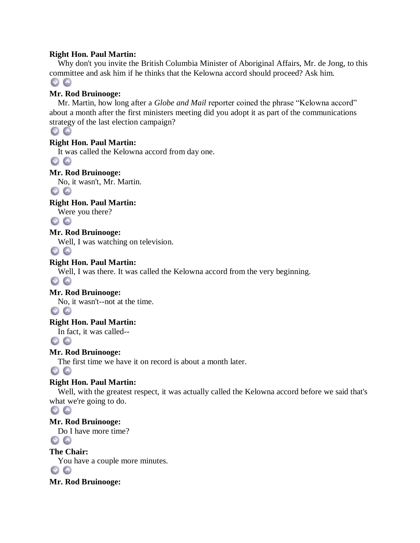### **Right Hon. Paul Martin:**

 Why don't you invite the British Columbia Minister of Aboriginal Affairs, Mr. de Jong, to this committee and ask him if he thinks that the Kelowna accord should proceed? Ask him.

 $\bullet$ 

## **Mr. Rod Bruinooge:**

Mr. Martin, how long after a *Globe and Mail* reporter coined the phrase "Kelowna accord" about a month after the first ministers meeting did you adopt it as part of the communications strategy of the last election campaign?

## $\bullet$

## **Right Hon. Paul Martin:**

It was called the Kelowna accord from day one.

 $\odot$   $\odot$ 

## **Mr. Rod Bruinooge:**

No, it wasn't, Mr. Martin.

 $\odot$   $\odot$ 

## **Right Hon. Paul Martin:**

Were you there?

 $\bullet$ 

**Mr. Rod Bruinooge:** 

Well, I was watching on television.

 $\bullet$ 

## **Right Hon. Paul Martin:**

Well, I was there. It was called the Kelowna accord from the very beginning.

## $\bullet$

**Mr. Rod Bruinooge:** 

No, it wasn't--not at the time.

## $\odot$   $\odot$

## **Right Hon. Paul Martin:**

In fact, it was called--

 $\odot$   $\odot$ 

## **Mr. Rod Bruinooge:**

The first time we have it on record is about a month later.

 $\odot$   $\odot$ 

## **Right Hon. Paul Martin:**

 Well, with the greatest respect, it was actually called the Kelowna accord before we said that's what we're going to do.

 $\bullet$ 

## **Mr. Rod Bruinooge:**

Do I have more time?

 $\circ$   $\circ$ 

## **The Chair:**

You have a couple more minutes.

 $\bullet$   $\bullet$ 

**Mr. Rod Bruinooge:**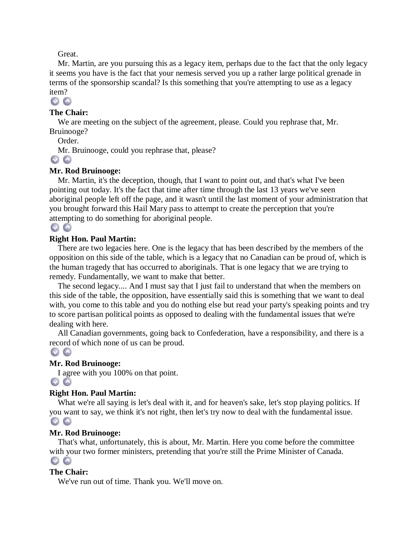Great.

 Mr. Martin, are you pursuing this as a legacy item, perhaps due to the fact that the only legacy it seems you have is the fact that your nemesis served you up a rather large political grenade in terms of the sponsorship scandal? Is this something that you're attempting to use as a legacy item?

#### $\odot$   $\odot$

### **The Chair:**

 We are meeting on the subject of the agreement, please. Could you rephrase that, Mr. Bruinooge?

Order.

Mr. Bruinooge, could you rephrase that, please?

 $\odot$   $\odot$ 

#### **Mr. Rod Bruinooge:**

 Mr. Martin, it's the deception, though, that I want to point out, and that's what I've been pointing out today. It's the fact that time after time through the last 13 years we've seen aboriginal people left off the page, and it wasn't until the last moment of your administration that you brought forward this Hail Mary pass to attempt to create the perception that you're attempting to do something for aboriginal people.

#### $\circ$   $\circ$

#### **Right Hon. Paul Martin:**

 There are two legacies here. One is the legacy that has been described by the members of the opposition on this side of the table, which is a legacy that no Canadian can be proud of, which is the human tragedy that has occurred to aboriginals. That is one legacy that we are trying to remedy. Fundamentally, we want to make that better.

 The second legacy.... And I must say that I just fail to understand that when the members on this side of the table, the opposition, have essentially said this is something that we want to deal with, you come to this table and you do nothing else but read your party's speaking points and try to score partisan political points as opposed to dealing with the fundamental issues that we're dealing with here.

 All Canadian governments, going back to Confederation, have a responsibility, and there is a record of which none of us can be proud.

 $\odot$   $\odot$ 

#### **Mr. Rod Bruinooge:**

I agree with you 100% on that point.

### $\odot$   $\odot$ **Right Hon. Paul Martin:**

What we're all saying is let's deal with it, and for heaven's sake, let's stop playing politics. If you want to say, we think it's not right, then let's try now to deal with the fundamental issue.  $\bullet$ 

#### **Mr. Rod Bruinooge:**

 That's what, unfortunately, this is about, Mr. Martin. Here you come before the committee with your two former ministers, pretending that you're still the Prime Minister of Canada.  $\odot$   $\odot$ 

#### **The Chair:**

We've run out of time. Thank you. We'll move on.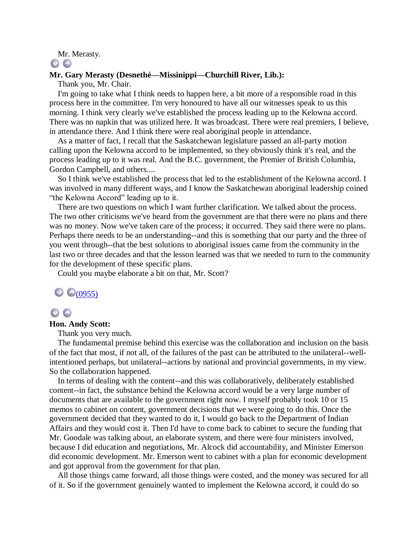#### [Mr. M](http://cmte.parl.gc.ca/Content/HOC/committee/391/aano/evidence/ev2499050/aanoev25-e.htm)erasty.

 $\bullet$ 

#### **Mr. Gary Merasty (Desnethé—Missinippi—Churchill River, Lib.):**

Thank you, Mr. Chair.

 I'm going to take what I think needs to happen here, a bit more of a responsible road in this process here in the committee. I'm very honoured to have all our witnesses speak to us this morning. I think very clearly we've established the process leading up to the Kelowna accord. There was no napkin that was utilized here. It was broadcast. There were real premiers, I believe, in attendance there. And I think there were real aboriginal people in attendance.

 As a matter of fact, I recall that the Saskatchewan legislature passed an all-party motion calling upon the Kelowna accord to be implemented, so they obviously think it's real, and the process leading up to it was real. And the B.C. government, the Premier of British Columbia, Gordon Campbell, and others....

 So I think we've established the process that led to the establishment of the Kelowna accord. I was involved in many different ways, and I know the Saskatchewan aboriginal leadership coined "the Kelowna Accord" leading up to it.

 There are two questions on which I want further clarification. We talked about the process. The two other criticisms we've heard from the government are that there were no plans and there was no money. Now we've taken care of the process; it occurred. They said there were no plans. Perhaps there needs to be an understanding--and this is something that our party and the three of you went through--that the best solutions to aboriginal issues came from the community in the last two or three decades and that the lesson learned was that we needed to turn to the community for the development of these specific plans.

Could you maybe elaborate a bit on that, Mr. Scott?

## $\odot$ (0955)

## $\bullet$

#### **Hon. Andy Scott:**

Thank you very much.

 The fundamental premise behind this exercise was the collaboration and inclusion on the basis of the fact that most, if not all, of the failures of the past can be attributed to the unilateral--wellintentioned perhaps, but unilateral--actions by national and provincial governments, in my view. So the collaboration happened.

 In terms of dealing with the content--and this was collaboratively, deliberately established content--in fact, the substance behind the Kelowna accord would be a very large number of documents that are available to the government right now. I myself probably took 10 or 15 memos to cabinet on content, government decisions that we were going to do this. Once the government decided that they wanted to do it, I would go back to the Department of Indian Affairs and they would cost it. Then I'd have to come back to cabinet to secure the funding that Mr. Goodale was talking about, an elaborate system, and there were four ministers involved, because I did education and negotiations, Mr. Alcock did accountability, and Minister Emerson did economic development. Mr. Emerson went to cabinet with a plan for economic development and got approval from the government for that plan.

 All those things came forward, all those things were costed, and the money was secured for all of it. So if the government genuinely wanted to implement the Kelowna accord, it could do so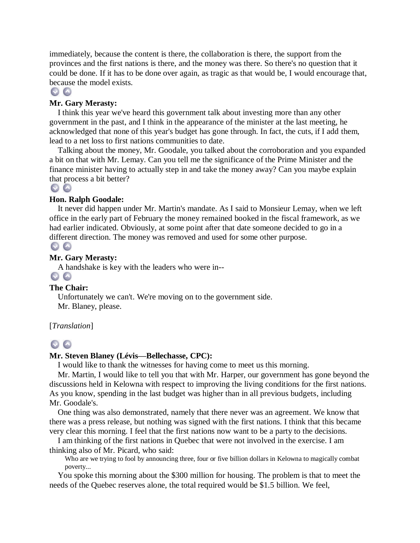immediately, because the content is there, the collaboration is there, the support from the provinces and the first nations is there, and the money was there. So there's no question that it could be done. If it has to be done over again, as tragic as that would be, I would encourage that, because the model exists.

## $\odot$   $\odot$

### **Mr. Gary Merasty:**

 I think this year we've heard this government talk about investing more than any other government in the past, and I think in the appearance of the minister at the last meeting, he acknowledged that none of this year's budget has gone through. In fact, the cuts, if I add them, lead to a net loss to first nations communities to date.

 Talking about the money, Mr. Goodale, you talked about the corroboration and you expanded a bit on that with Mr. Lemay. Can you tell me the significance of the Prime Minister and the finance minister having to actually step in and take the money away? Can you maybe explain that process a bit better?

 $\odot$   $\odot$ 

#### **Hon. Ralph Goodale:**

 It never did happen under Mr. Martin's mandate. As I said to Monsieur Lemay, when we left office in the early part of February the money remained booked in the fiscal framework, as we had earlier indicated. Obviously, at some point after that date someone decided to go in a [differen](http://cmte.parl.gc.ca/Content/HOC/committee/391/aano/evidence/ev2499050/aanoev25-e.htm)t direction. The money was removed and used for some other purpose.

 $\bullet$ 

#### **Mr. Gary Merasty:**

A handshake is key with the leaders who were in--

 $\odot$   $\odot$ 

### **The Chair:**

 Unfortunately we can't. We're moving on to the government side. Mr. Blaney, please.

[*Translation*]

## $\odot$   $\odot$

#### **Mr. Steven Blaney (Lévis—Bellechasse, CPC):**

I would like to thank the witnesses for having come to meet us this morning.

 Mr. Martin, I would like to tell you that with Mr. Harper, our government has gone beyond the discussions held in Kelowna with respect to improving the living conditions for the first nations. As you know, spending in the last budget was higher than in all previous budgets, including Mr. Goodale's.

 One thing was also demonstrated, namely that there never was an agreement. We know that there was a press release, but nothing was signed with the first nations. I think that this became very clear this morning. I feel that the first nations now want to be a party to the decisions.

 I am thinking of the first nations in Quebec that were not involved in the exercise. I am thinking also of Mr. Picard, who said:

Who are we trying to fool by announcing three, four or five billion dollars in Kelowna to magically combat poverty...

 You spoke this morning about the \$300 million for housing. The problem is that to meet the needs of the Quebec reserves alone, the total required would be \$1.5 billion. We feel,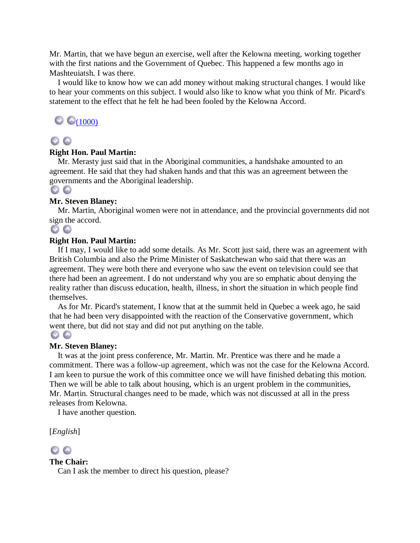Mr. Martin, that we have begun an exercise, well after the Kelowna meeting, working together with the first nations and the Government of Quebec. This happened a few months ago in Mashteuiatsh. I was there.

 I would like to know how we can add money without making structural changes. I would like to hear your comments on this subject. I would also like to know what you think of Mr. Picard's statement to the effect that he felt he had been fooled by the Kelowna Accord.

## $\odot$  (1000)

## $\odot$   $\odot$

#### **Right Hon. Paul Martin:**

 Mr. Merasty just said that in the Aboriginal communities, a handshake amounted to an agreement. He said that they had shaken hands and that this was an agreement between the governments and the Aboriginal leadership.

### $\bullet$

#### **Mr. Steven Blaney:**

 Mr. Martin, Aboriginal women were not in attendance, and the provincial governments did not [sign the](http://cmte.parl.gc.ca/Content/HOC/committee/391/aano/evidence/ev2499050/aanoev25-e.htm) accord.

## $\odot$   $\odot$

#### **Right Hon. Paul Martin:**

 If I may, I would like to add some details. As Mr. Scott just said, there was an agreement with British Columbia and also the Prime Minister of Saskatchewan who said that there was an agreement. They were both there and everyone who saw the event on television could see that there had been an agreement. I do not understand why you are so emphatic about denying the reality rather than discuss education, health, illness, in short the situation in which people find themselves.

 As for Mr. Picard's statement, I know that at the summit held in Quebec a week ago, he said that he had been very disappointed with the reaction of the Conservative government, which went there, but did not stay and did not put anything on the table.

## $\bullet$

#### **Mr. Steven Blaney:**

 It was at the joint press conference, Mr. Martin. Mr. Prentice was there and he made a commitment. There was a follow-up agreement, which was not the case for the Kelowna Accord. I am keen to pursue the work of this committee once we will have finished debating this motion. Then we will be able to talk about housing, which is an urgent problem in the communities, Mr. Martin. Structural changes need to be made, which was not discussed at all in the press releases from Kelowna.

I have another question.

[*English*]

## $\circ$   $\circ$ **The Chair:**

Can I ask the member to direct his question, please?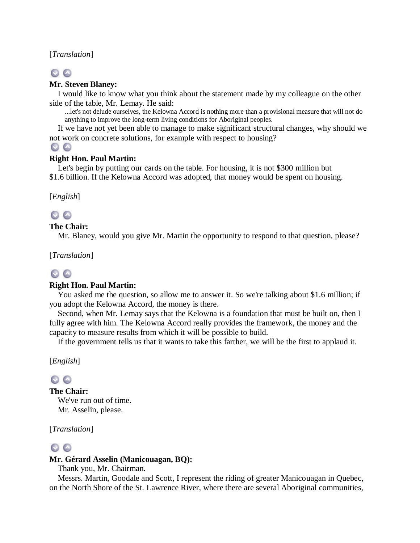### [*Translation*]



#### **Mr. Steven Blaney:**

 I would like to know what you think about the statement made by my colleague on the other side of the table, Mr. Lemay. He said:

...let's not delude ourselves, the Kelowna Accord is nothing more than a provisional measure that will not do anything to improve the long-term living conditions for Aboriginal peoples.

 If we have not yet been able to manage to make significant structural changes, why should we not work on concrete solutions, for example with respect to housing?

## $\bullet$

#### **Right Hon. Paul Martin:**

 Let's begin by putting our cards on the table. For housing, it is not \$300 million but \$1.6 billion. If the Kelowna Accord was adopted, that money would be spent on housing.

[*English*]

## $\circ$   $\circ$

#### **The Chair:**

Mr. Blaney, would you give Mr. Martin the opportunity to respond to that question, please?

[*Translation*]

## $\odot$   $\odot$

### **Right Hon. Paul Martin:**

You asked me the question, so allow me to answer it. So we're talking about \$1.6 million; if you adopt the Kelowna Accord, the money is there.

 Second, when Mr. Lemay says that the Kelowna is a foundation that must be built on, then I fully agree with him. The Kelowna Accord really provides the framework, the money and the capacity to measure results from which it will be possible to build.

If the government tells us that it wants to take this farther, we will be the first to applaud it.

[*English*]

## $\odot$   $\odot$

**The Chair:**  We've run out of time. Mr. Asselin, please.

[*Translation*]

## $\odot$   $\odot$

#### **Mr. Gérard Asselin (Manicouagan, BQ):**

Thank you, Mr. Chairman.

 Messrs. Martin, Goodale and Scott, I represent the riding of greater Manicouagan in Quebec, on the North Shore of the St. Lawrence River, where there are several Aboriginal communities,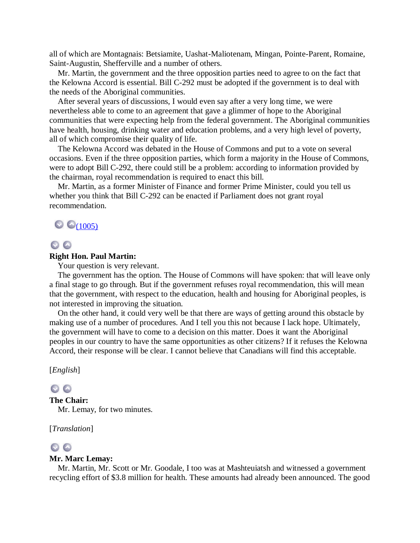all of which are Montagnais: Betsiamite, Uashat-Maliotenam, Mingan, Pointe-Parent, Romaine, Saint-Augustin, Shefferville and a number of others.

 Mr. Martin, the government and the three opposition parties need to agree to on the fact that the Kelowna Accord is essential. Bill C-292 must be adopted if the government is to deal with the needs of the Aboriginal communities.

 After several years of discussions, I would even say after a very long time, we were nevertheless able to come to an agreement that gave a glimmer of hope to the Aboriginal communities that were expecting help from the federal government. The Aboriginal communities have health, housing, drinking water and education problems, and a very high level of poverty, all of which compromise their quality of life.

 The Kelowna Accord was debated in the House of Commons and put to a vote on several occasions. Even if the three opposition parties, which form a majority in the House of Commons, were to adopt Bill C-292, there could still be a problem: according to information provided by the chairman, royal recommendation is required to enact this bill.

 Mr. Martin, as a former Minister of Finance and former Prime Minister, could you tell us whether you think that Bill C-292 can be enacted if Parliament does not grant royal recommendation.

## $\odot$  (1005)

## $\bullet$

#### **Right Hon. Paul Martin:**

Your question is very relevant.

 The government has the option. The House of Commons will have spoken: that will leave only a final stage to go through. But if the government refuses royal recommendation, this will mean that the government, with respect to the education, health and housing for Aboriginal peoples, is not interested in improving the situation.

 On the other hand, it could very well be that there are ways of getting around this obstacle by making use of a number of procedures. And I tell you this not because I lack hope. Ultimately, the government will have to come to a decision on this matter. Does it want the Aboriginal peoples in our country to have the same opportunities as other citizens? If it refuses the Kelowna Accord, their response will be clear. I cannot believe that Canadians will find this acceptable.

[*English*]

## $\bullet$

**The Chair:**  Mr. Lemay, for two minutes.

[*Translation*]

## $\bullet$

#### **Mr. Marc Lemay:**

 Mr. Martin, Mr. Scott or Mr. Goodale, I too was at Mashteuiatsh and witnessed a government recycling effort of \$3.8 million for health. These amounts had already been announced. The good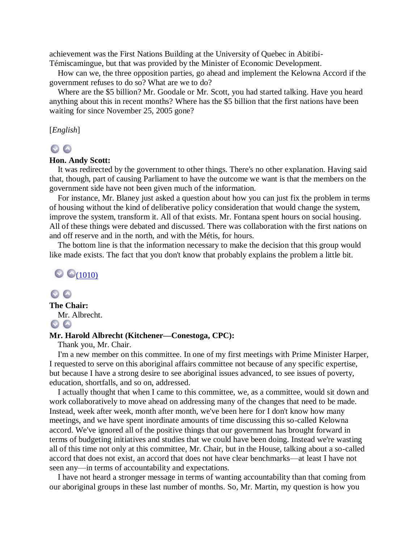achievement was the First Nations Building at the University of Quebec in Abitibi-Témiscamingue, but that was provided by the Minister of Economic Development.

 How can we, the three opposition parties, go ahead and implement the Kelowna Accord if the government refuses to do so? What are we to do?

 Where are the \$5 billion? Mr. Goodale or Mr. Scott, you had started talking. Have you heard anything about this in recent months? Where has the \$5 billion that the first nations have been waiting for since November 25, 2005 gone?

[*English*]

## $\odot$   $\odot$

#### **Hon. Andy Scott:**

 It was redirected by the government to other things. There's no other explanation. Having said that, though, part of causing Parliament to have the outcome we want is that the members on the government side have not been given much of the information.

 For instance, Mr. Blaney just asked a question about how you can just fix the problem in terms of housing without the kind of deliberative policy consideration that would change the system, improve the system, transform it. All of that exists. Mr. Fontana spent hours on social housing. All of these things were debated and discussed. There was collaboration with the first nations on and off reserve and in the north, and with the Métis, for hours.

 The bottom line is that the information necessary to make the decision that this group would like made exists. The fact that you don't know that probably explains the problem a little bit.

 $\odot$   $\odot$  (1010)

## $\bullet$

**The Chair:**  Mr. Albrecht.  $\bullet$ 

#### **Mr. Harold Albrecht (Kitchener—Conestoga, CPC):**

Thank you, Mr. Chair.

 I'm a new member on this committee. In one of my first meetings with Prime Minister Harper, I requested to serve on this aboriginal affairs committee not because of any specific expertise, but because I have a strong desire to see aboriginal issues advanced, to see issues of poverty, education, shortfalls, and so on, addressed.

 I actually thought that when I came to this committee, we, as a committee, would sit down and work collaboratively to move ahead on addressing many of the changes that need to be made. Instead, week after week, month after month, we've been here for I don't know how many meetings, and we have spent inordinate amounts of time discussing this so-called Kelowna accord. We've ignored all of the positive things that our government has brought forward in terms of budgeting initiatives and studies that we could have been doing. Instead we're wasting all of this time not only at this committee, Mr. Chair, but in the House, talking about a so-called accord that does not exist, an accord that does not have clear benchmarks—at least I have not seen any—in terms of accountability and expectations.

 I have not heard a stronger message in terms of wanting accountability than that coming from our aboriginal groups in these last number of months. So, Mr. Martin, my question is how you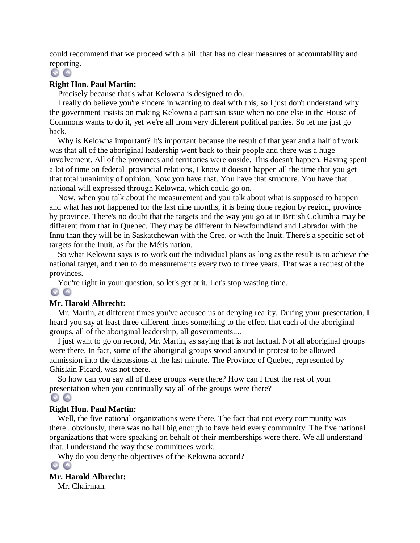could recommend that we proceed with a bill that has no clear measures of accountability and reporting.

#### $\odot$   $\odot$

#### **Right Hon. Paul Martin:**

Precisely because that's what Kelowna is designed to do.

 I really do believe you're sincere in wanting to deal with this, so I just don't understand why the government insists on making Kelowna a partisan issue when no one else in the House of Commons wants to do it, yet we're all from very different political parties. So let me just go back.

 Why is Kelowna important? It's important because the result of that year and a half of work was that all of the aboriginal leadership went back to their people and there was a huge involvement. All of the provinces and territories were onside. This doesn't happen. Having spent a lot of time on federal–provincial relations, I know it doesn't happen all the time that you get that total unanimity of opinion. Now you have that. You have that structure. You have that national will expressed through Kelowna, which could go on.

 Now, when you talk about the measurement and you talk about what is supposed to happen and what has not happened for the last nine months, it is being done region by region, province by province. There's no doubt that the targets and the way you go at in British Columbia may be different from that in Quebec. They may be different in Newfoundland and Labrador with the Innu than they will be in Saskatchewan with the Cree, or with the Inuit. There's a specific set of targets for the Inuit, as for the Métis nation.

 So what Kelowna says is to work out the individual plans as long as the result is to achieve the national target, and then to do measurements every two to three years. That was a request of the provinces.

You're right in your question, so let's get at it. Let's stop wasting time.

#### $\odot$   $\odot$

#### **Mr. Harold Albrecht:**

 Mr. Martin, at different times you've accused us of denying reality. During your presentation, I heard you say at least three different times something to the effect that each of the aboriginal groups, all of the aboriginal leadership, all governments....

 I just want to go on record, Mr. Martin, as saying that is not factual. Not all aboriginal groups were there. In fact, some of the aboriginal groups stood around in protest to be allowed admission into the discussions at the last minute. The Province of Quebec, represented by Ghislain Picard, was not there.

 So how can you say all of these groups were there? How can I trust the rest of your presentation when you continually say all of the groups were there?  $\circ$   $\circ$ 

## **Right Hon. Paul Martin:**

 Well, the five national organizations were there. The fact that not every community was there...obviously, there was no hall big enough to have held every community. The five national organizations that were speaking on behalf of their memberships were there. We all understand that. I understand the way these committees work.

 Why do you deny the objectives of the Kelowna accord?  $\odot$   $\odot$ 

#### **Mr. Harold Albrecht:**

Mr. Chairman.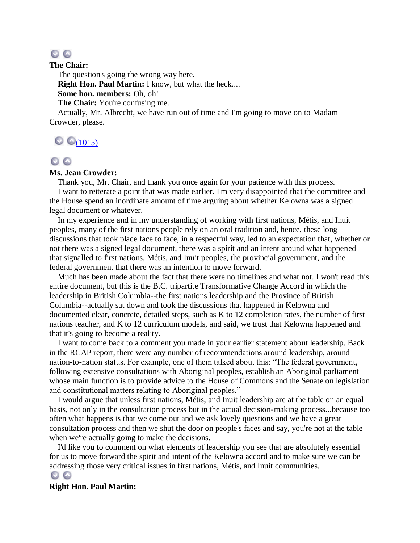## $\odot$   $\odot$

#### **The Chair:**

The question's going the wrong way here.

**Right Hon. Paul Martin:** I know, but what the heck....

### **Some hon. members:** Oh, oh!

**The Chair:** You're confusing me.

 Actually, Mr. Albrecht, we have run out of time and I'm going to move on to Madam Crowder, please.

 $\odot$   $\odot$  (1015)

## $\odot$   $\odot$

#### **Ms. Jean Crowder:**

 Thank you, Mr. Chair, and thank you once again for your patience with this process. I want to reiterate a point that was made earlier. I'm very disappointed that the committee and the House spend an inordinate amount of time arguing about whether Kelowna was a signed legal document or whatever.

 In my experience and in my understanding of working with first nations, Métis, and Inuit peoples, many of the first nations people rely on an oral tradition and, hence, these long discussions that took place face to face, in a respectful way, led to an expectation that, whether or not there was a signed legal document, there was a spirit and an intent around what happened that signalled to first nations, Métis, and Inuit peoples, the provincial government, and the federal government that there was an intention to move forward.

 Much has been made about the fact that there were no timelines and what not. I won't read this entire document, but this is the B.C. tripartite Transformative Change Accord in which the leadership in British Columbia--the first nations leadership and the Province of British Columbia--actually sat down and took the discussions that happened in Kelowna and documented clear, concrete, detailed steps, such as K to 12 completion rates, the number of first nations teacher, and K to 12 curriculum models, and said, we trust that Kelowna happened and that it's going to become a reality.

 I want to come back to a comment you made in your earlier statement about leadership. Back in the RCAP report, there were any number of recommendations around leadership, around nation-to-nation status. For example, one of them talked about this: "The federal government, following extensive consultations with Aboriginal peoples, establish an Aboriginal parliament whose main function is to provide advice to the House of Commons and the Senate on legislation and constitutional matters relating to Aboriginal peoples."

 I would argue that unless first nations, Métis, and Inuit leadership are at the table on an equal basis, not only in the consultation process but in the actual decision-making process...because too often what happens is that we come out and we ask lovely questions and we have a great consultation process and then we shut the door on people's faces and say, you're not at the table when we're actually going to make the decisions.

 I'd like you to comment on what elements of leadership you see that are absolutely essential for us to move forward the spirit and intent of the Kelowna accord and to make sure we can be [address](http://cmte.parl.gc.ca/Content/HOC/committee/391/aano/evidence/ev2499050/aanoev25-e.htm)ing those very critical issues in first nations, Métis, and Inuit communities.  $\bullet$   $\bullet$ 

#### **Right Hon. Paul Martin:**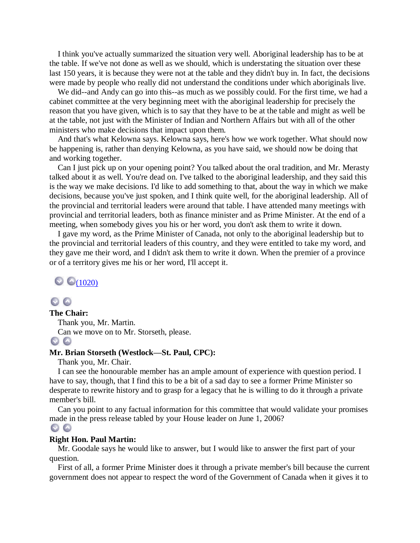I think you've actually summarized the situation very well. Aboriginal leadership has to be at the table. If we've not done as well as we should, which is understating the situation over these last 150 years, it is because they were not at the table and they didn't buy in. In fact, the decisions were made by people who really did not understand the conditions under which aboriginals live.

 We did--and Andy can go into this--as much as we possibly could. For the first time, we had a cabinet committee at the very beginning meet with the aboriginal leadership for precisely the reason that you have given, which is to say that they have to be at the table and might as well be at the table, not just with the Minister of Indian and Northern Affairs but with all of the other ministers who make decisions that impact upon them.

 And that's what Kelowna says. Kelowna says, here's how we work together. What should now be happening is, rather than denying Kelowna, as you have said, we should now be doing that and working together.

 Can I just pick up on your opening point? You talked about the oral tradition, and Mr. Merasty talked about it as well. You're dead on. I've talked to the aboriginal leadership, and they said this is the way we make decisions. I'd like to add something to that, about the way in which we make decisions, because you've just spoken, and I think quite well, for the aboriginal leadership. All of the provincial and territorial leaders were around that table. I have attended many meetings with provincial and territorial leaders, both as finance minister and as Prime Minister. At the end of a meeting, when somebody gives you his or her word, you don't ask them to write it down.

 I gave my word, as the Prime Minister of Canada, not only to the aboriginal leadership but to the provincial and territorial leaders of this country, and they were entitled to take my word, and they gave me their word, and I didn't ask them to write it down. When the premier of a province or of a territory gives me his or her word, I'll accept it.

 $\odot$  (1020)

## $\bullet$   $\bullet$

**The Chair:** 

Thank you, Mr. Martin.

Can we move on to Mr. Storseth, please.

#### $\odot$   $\odot$

#### **Mr. Brian Storseth (Westlock—St. Paul, CPC):**

Thank you, Mr. Chair.

 I can see the honourable member has an ample amount of experience with question period. I have to say, though, that I find this to be a bit of a sad day to see a former Prime Minister so desperate to rewrite history and to grasp for a legacy that he is willing to do it through a private member's bill.

 Can you point to any factual information for this committee that would validate your promises made in the press release tabled by your House leader on June 1, 2006?  $\odot$   $\odot$ 

#### **Right Hon. Paul Martin:**

 Mr. Goodale says he would like to answer, but I would like to answer the first part of your question.

 First of all, a former Prime Minister does it through a private member's bill because the current government does not appear to respect the word of the Government of Canada when it gives it to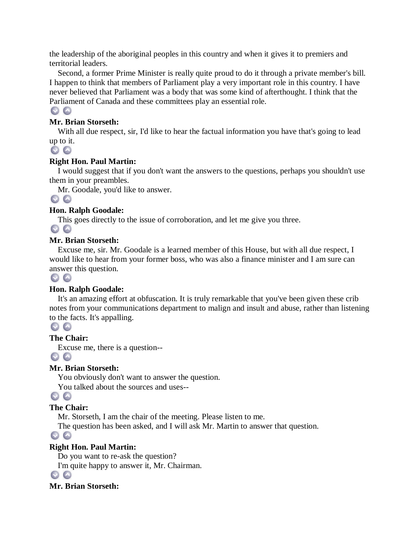the leadership of the aboriginal peoples in this country and when it gives it to premiers and territorial leaders.

 Second, a former Prime Minister is really quite proud to do it through a private member's bill. I happen to think that members of Parliament play a very important role in this country. I have never believed that Parliament was a body that was some kind of afterthought. I think that the Parliament of Canada and these committees play an essential role.

 $\odot$   $\odot$ 

## **Mr. Brian Storseth:**

 With all due respect, sir, I'd like to hear the factual information you have that's going to lead up to it.

## $\bullet$

## **Right Hon. Paul Martin:**

 I would suggest that if you don't want the answers to the questions, perhaps you shouldn't use them in your preambles.

Mr. Goodale, you'd like to answer.

 $\odot$   $\odot$ 

## **Hon. Ralph Goodale:**

This goes directly to the issue of corroboration, and let me give you three.

 $\bullet$ 

## **Mr. Brian Storseth:**

 Excuse me, sir. Mr. Goodale is a learned member of this House, but with all due respect, I would like to hear from your former boss, who was also a finance minister and I am sure can answer this question.

## $\bullet$

## **Hon. Ralph Goodale:**

 It's an amazing effort at obfuscation. It is truly remarkable that you've been given these crib notes from your communications department to malign and insult and abuse, rather than listening to the facts. It's appalling.

## $\odot$   $\odot$

## **The Chair:**

Excuse me, there is a question--

 $\odot$   $\odot$ 

## **Mr. Brian Storseth:**

You obviously don't want to answer the question.

You talked about the sources and uses--

## $\circ$   $\circ$

## **The Chair:**

Mr. Storseth, I am the chair of the meeting. Please listen to me.

The question has been asked, and I will ask Mr. Martin to answer that question.

 $\odot$   $\odot$ 

## **Right Hon. Paul Martin:**

Do you want to re-ask the question?

I'm quite happy to answer it, Mr. Chairman.

 $\odot$   $\odot$ 

## **Mr. Brian Storseth:**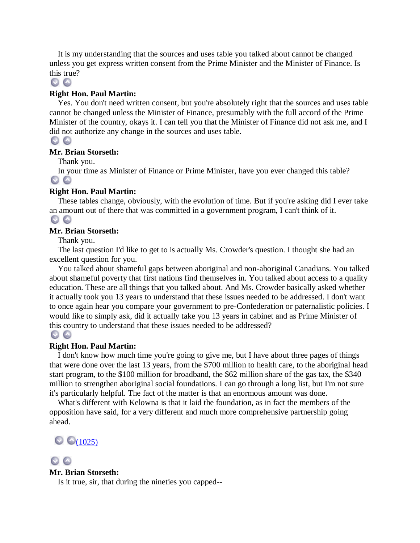It is my understanding that the sources and uses table you talked about cannot be changed unless you get express written consent from the Prime Minister and the Minister of Finance. Is this true?

## $\odot$   $\odot$

#### **Right Hon. Paul Martin:**

 Yes. You don't need written consent, but you're absolutely right that the sources and uses table cannot be changed unless the Minister of Finance, presumably with the full accord of the Prime Minister of the country, okays it. I can tell you that the Minister of Finance did not ask me, and I did not authorize any change in the sources and uses table.

#### $\odot$  (A)

## **Mr. Brian Storseth:**

Thank you.

 In your time as Minister of Finance or Prime Minister, have you ever changed this table?  $\bullet$ 

#### **Right Hon. Paul Martin:**

 These tables change, obviously, with the evolution of time. But if you're asking did I ever take [an amo](http://cmte.parl.gc.ca/Content/HOC/committee/391/aano/evidence/ev2499050/aanoev25-e.htm)unt out of there that was committed in a government program, I can't think of it.  $\odot$   $\odot$ 

#### **Mr. Brian Storseth:**

Thank you.

 The last question I'd like to get to is actually Ms. Crowder's question. I thought she had an excellent question for you.

 You talked about shameful gaps between aboriginal and non-aboriginal Canadians. You talked about shameful poverty that first nations find themselves in. You talked about access to a quality education. These are all things that you talked about. And Ms. Crowder basically asked whether it actually took you 13 years to understand that these issues needed to be addressed. I don't want to once again hear you compare your government to pre-Confederation or paternalistic policies. I would like to simply ask, did it actually take you 13 years in cabinet and as Prime Minister of this country to understand that these issues needed to be addressed?  $\odot$   $\odot$ 

## **Right Hon. Paul Martin:**

 I don't know how much time you're going to give me, but I have about three pages of things that were done over the last 13 years, from the \$700 million to health care, to the aboriginal head start program, to the \$100 million for broadband, the \$62 million share of the gas tax, the \$340 million to strengthen aboriginal social foundations. I can go through a long list, but I'm not sure it's particularly helpful. The fact of the matter is that an enormous amount was done.

 What's different with Kelowna is that it laid the foundation, as in fact the members of the opposition have said, for a very different and much more comprehensive partnership going ahead.

## $\odot$  (1025)

## $\odot$   $\odot$

#### **Mr. Brian Storseth:**

Is it true, sir, that during the nineties you capped--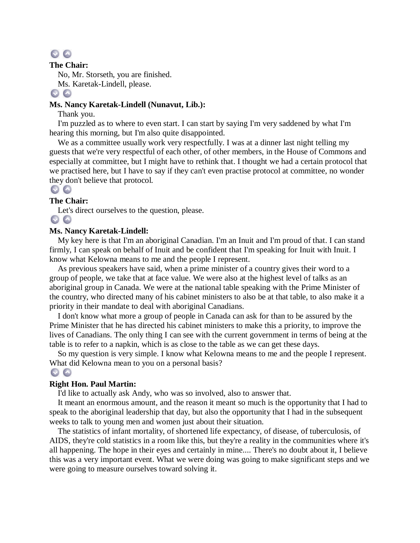## $\odot$   $\odot$

## **The Chair:**

No, Mr. Storseth, you are finished.

Ms. Karetak-Lindell, please.

```
\odot \odot
```
#### **Ms. Nancy Karetak-Lindell (Nunavut, Lib.):**

Thank you.

 I'm puzzled as to where to even start. I can start by saying I'm very saddened by what I'm hearing this morning, but I'm also quite disappointed.

We as a committee usually work very respectfully. I was at a dinner last night telling my guests that we're very respectful of each other, of other members, in the House of Commons and especially at committee, but I might have to rethink that. I thought we had a certain protocol that we practised here, but I have to say if they can't even practise protocol at committee, no wonder they don't believe that protocol.

## $\odot$   $\odot$

## **The Chair:**

 [Let](http://cmte.parl.gc.ca/Content/HOC/committee/391/aano/evidence/ev2499050/aanoev25-e.htm)'[s](http://cmte.parl.gc.ca/Content/HOC/committee/391/aano/evidence/ev2499050/aanoev25-e.htm) direct ourselves to the question, please.

 $\circ$ 

#### **Ms. Nancy Karetak-Lindell:**

 My key here is that I'm an aboriginal Canadian. I'm an Inuit and I'm proud of that. I can stand firmly, I can speak on behalf of Inuit and be confident that I'm speaking for Inuit with Inuit. I know what Kelowna means to me and the people I represent.

 As previous speakers have said, when a prime minister of a country gives their word to a group of people, we take that at face value. We were also at the highest level of talks as an aboriginal group in Canada. We were at the national table speaking with the Prime Minister of the country, who directed many of his cabinet ministers to also be at that table, to also make it a priority in their mandate to deal with aboriginal Canadians.

 I don't know what more a group of people in Canada can ask for than to be assured by the Prime Minister that he has directed his cabinet ministers to make this a priority, to improve the lives of Canadians. The only thing I can see with the current government in terms of being at the table is to refer to a napkin, which is as close to the table as we can get these days.

 So my question is very simple. I know what Kelowna means to me and the people I represent. What did Kelowna mean to you on a personal basis?

## $\bullet$

#### **Right Hon. Paul Martin:**

I'd like to actually ask Andy, who was so involved, also to answer that.

 It meant an enormous amount, and the reason it meant so much is the opportunity that I had to speak to the aboriginal leadership that day, but also the opportunity that I had in the subsequent weeks to talk to young men and women just about their situation.

 The statistics of infant mortality, of shortened life expectancy, of disease, of tuberculosis, of AIDS, they're cold statistics in a room like this, but they're a reality in the communities where it's all happening. The hope in their eyes and certainly in mine.... There's no doubt about it, I believe this was a very important event. What we were doing was going to make significant steps and we were going to measure ourselves toward solving it.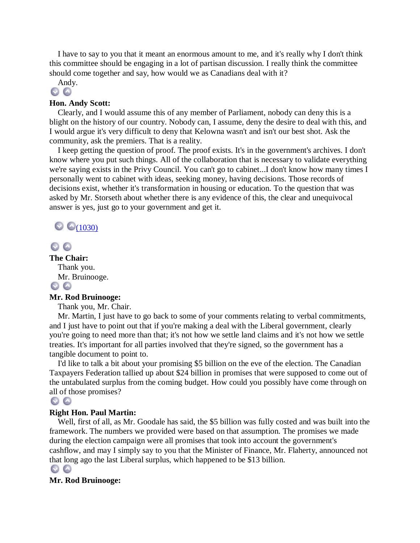I have to say to you that it meant an enormous amount to me, and it's really why I don't think this committee should be engaging in a lot of partisan discussion. I really think the committee should come together and say, how would we as Canadians deal with it?

#### Andy.

## $\odot$   $\odot$

### **Hon. Andy Scott:**

 Clearly, and I would assume this of any member of Parliament, nobody can deny this is a blight on the history of our country. Nobody can, I assume, deny the desire to deal with this, and I would argue it's very difficult to deny that Kelowna wasn't and isn't our best shot. Ask the community, ask the premiers. That is a reality.

 I keep getting the question of proof. The proof exists. It's in the government's archives. I don't know where you put such things. All of the collaboration that is necessary to validate everything we're saying exists in the Privy Council. You can't go to cabinet...I don't know how many times I personally went to cabinet with ideas, seeking money, having decisions. Those records of decisions exist, whether it's transformation in housing or education. To the question that was asked by Mr. Storseth about whether there is any evidence of this, the clear and unequivocal answer is yes, just go to your government and get it.

## $\odot$   $\odot$  (1030)

## $\bullet$   $\bullet$

**The Chair:**  Thank you. Mr. Bruinooge.  $\bullet$ 

#### **Mr. Rod Bruinooge:**

Thank you, Mr. Chair.

 Mr. Martin, I just have to go back to some of your comments relating to verbal commitments, and I just have to point out that if you're making a deal with the Liberal government, clearly you're going to need more than that; it's not how we settle land claims and it's not how we settle treaties. It's important for all parties involved that they're signed, so the government has a tangible document to point to.

 I'd like to talk a bit about your promising \$5 billion on the eve of the election. The Canadian Taxpayers Federation tallied up about \$24 billion in promises that were supposed to come out of the untabulated surplus from the coming budget. How could you possibly have come through on all of those promises?

## $\odot$   $\odot$

#### **Right Hon. Paul Martin:**

 Well, first of all, as Mr. Goodale has said, the \$5 billion was fully costed and was built into the framework. The numbers we provided were based on that assumption. The promises we made during the election campaign were all promises that took into account the government's cashflow, and may I simply say to you that the Minister of Finance, Mr. Flaherty, announced not that long ago the last Liberal surplus, which happened to be \$13 billion.  $\odot$   $\odot$ 

#### **Mr. Rod Bruinooge:**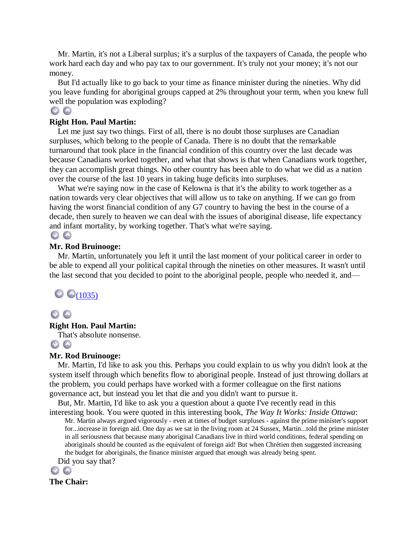Mr. Martin, it's not a Liberal surplus; it's a surplus of the taxpayers of Canada, the people who work hard each day and who pay tax to our government. It's truly not your money; it's not our money.

 But I'd actually like to go back to your time as finance minister during the nineties. Why did you leave funding for aboriginal groups capped at 2% throughout your term, when you knew full well the population was exploding?

## $\bullet$

#### **Right Hon. Paul Martin:**

 Let me just say two things. First of all, there is no doubt those surpluses are Canadian surpluses, which belong to the people of Canada. There is no doubt that the remarkable turnaround that took place in the financial condition of this country over the last decade was because Canadians worked together, and what that shows is that when Canadians work together, they can accomplish great things. No other country has been able to do what we did as a nation over the course of the last 10 years in taking huge deficits into surpluses.

 What we're saying now in the case of Kelowna is that it's the ability to work together as a nation towards very clear objectives that will allow us to take on anything. If we can go from having the worst financial condition of any G7 country to having the best in the course of a decade, then surely to heaven we can deal with the issues of aboriginal disease, life expectancy and infant mortality, by working together. That's what we're saying.  $\odot$   $\odot$ 

#### **Mr. Rod Bruinooge:**

 Mr. Martin, unfortunately you left it until the last moment of your political career in order to be able to expend all your political capital through the nineties on other measures. It wasn't until the last second that you decided to point to the aboriginal people, people who needed it, and—

## $\odot$  (1035)

## $\odot$   $\odot$

### **Right Hon. Paul Martin:**

That's absolute nonsense.

## $\odot$   $\odot$

## **Mr. Rod Bruinooge:**

 Mr. Martin, I'd like to ask you this. Perhaps you could explain to us why you didn't look at the system itself through which benefits flow to aboriginal people. Instead of just throwing dollars at the problem, you could perhaps have worked with a former colleague on the first nations governance act, but instead you let that die and you didn't want to pursue it.

 But, Mr. Martin, I'd like to ask you a question about a quote I've recently read in this interesting book. You were quoted in this interesting book, *The Way It Works: Inside Ottawa*:

Mr. Martin always argued vigorously - even at times of budget surpluses - against the prime minister's support for...increase in foreign aid. One day as we sat in the living room at 24 Sussex, Martin...told the prime minister in all seriousness that because many aboriginal Canadians live in third world conditions, federal spending on aboriginals should be counted as the equivalent of foreign aid! But when Chrétien then suggested increasing the budget for aboriginals, the finance minister argued that enough was already being spent.

 [Did](http://cmte.parl.gc.ca/Content/HOC/committee/391/aano/evidence/ev2499050/aanoev25-e.htm) you say that?

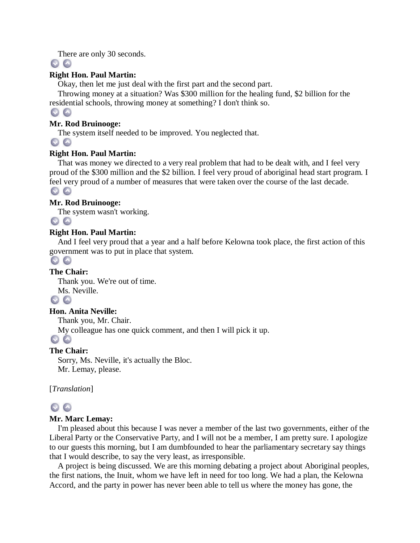[Ther](http://cmte.parl.gc.ca/Content/HOC/committee/391/aano/evidence/ev2499050/aanoev25-e.htm)e are only 30 seconds.

 $\circ$ 

### **Right Hon. Paul Martin:**

Okay, then let me just deal with the first part and the second part.

 Throwing money at a situation? Was \$300 million for the healing fund, \$2 billion for the residential schools, throwing money at something? I don't think so.  $\bullet$   $\bullet$ 

### **Mr. Rod Bruinooge:**

The system itself needed to be improved. You neglected that.

### $\odot$   $\odot$

### **Right Hon. Paul Martin:**

 That was money we directed to a very real problem that had to be dealt with, and I feel very proud of the \$300 million and the \$2 billion. I feel very proud of aboriginal head start program. I feel very proud of a number of measures that were taken over the course of the last decade.  $\odot$   $\odot$ 

## **Mr. Rod Bruinooge:**

The system wasn't working.

## $\bullet$

### **Right Hon. Paul Martin:**

 And I feel very proud that a year and a half before Kelowna took place, the first action of this government was to put in place that system.

## $\odot$   $\odot$

### **The Chair:**

 Thank you. We're out of time. Ms. Neville.

## $\odot$   $\odot$

#### **Hon. Anita Neville:**

Thank you, Mr. Chair.

My colleague has one quick comment, and then I will pick it up.

 $\odot$   $\odot$ 

### **The Chair:**

 Sorry, Ms. Neville, it's actually the Bloc. Mr. Lemay, please.

[*Translation*]

## $\bullet$

#### **Mr. Marc Lemay:**

 I'm pleased about this because I was never a member of the last two governments, either of the Liberal Party or the Conservative Party, and I will not be a member, I am pretty sure. I apologize to our guests this morning, but I am dumbfounded to hear the parliamentary secretary say things that I would describe, to say the very least, as irresponsible.

 A project is being discussed. We are this morning debating a project about Aboriginal peoples, the first nations, the Inuit, whom we have left in need for too long. We had a plan, the Kelowna Accord, and the party in power has never been able to tell us where the money has gone, the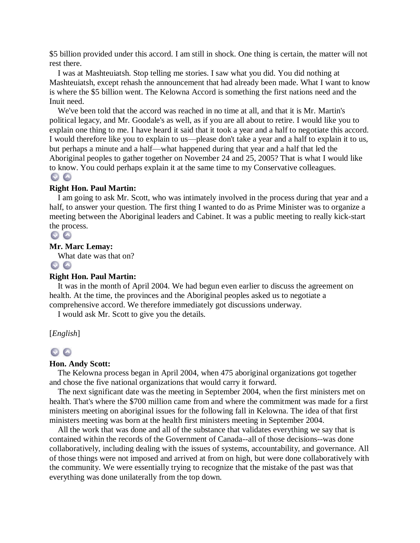\$5 billion provided under this accord. I am still in shock. One thing is certain, the matter will not rest there.

 I was at Mashteuiatsh. Stop telling me stories. I saw what you did. You did nothing at Mashteuiatsh, except rehash the announcement that had already been made. What I want to know is where the \$5 billion went. The Kelowna Accord is something the first nations need and the Inuit need.

 We've been told that the accord was reached in no time at all, and that it is Mr. Martin's political legacy, and Mr. Goodale's as well, as if you are all about to retire. I would like you to explain one thing to me. I have heard it said that it took a year and a half to negotiate this accord. I would therefore like you to explain to us—please don't take a year and a half to explain it to us, but perhaps a minute and a half—what happened during that year and a half that led the Aboriginal peoples to gather together on November 24 and 25, 2005? That is what I would like to know. You could perhaps explain it at the same time to my Conservative colleagues.  $\bullet$ 

#### **Right Hon. Paul Martin:**

 I am going to ask Mr. Scott, who was intimately involved in the process during that year and a half, to answer your question. The first thing I wanted to do as Prime Minister was to organize a meeting between the Aboriginal leaders and Cabinet. It was a public meeting to really kick-start the process.

#### $\odot$   $\odot$

#### **Mr. Marc Lemay:**

What date was that on?

#### $\odot$   $\odot$

#### **Right Hon. Paul Martin:**

 It was in the month of April 2004. We had begun even earlier to discuss the agreement on health. At the time, the provinces and the Aboriginal peoples asked us to negotiate a comprehensive accord. We therefore immediately got discussions underway.

I would ask Mr. Scott to give you the details.

#### [*English*]

## $\odot$   $\odot$

#### **Hon. Andy Scott:**

 The Kelowna process began in April 2004, when 475 aboriginal organizations got together and chose the five national organizations that would carry it forward.

 The next significant date was the meeting in September 2004, when the first ministers met on health. That's where the \$700 million came from and where the commitment was made for a first ministers meeting on aboriginal issues for the following fall in Kelowna. The idea of that first ministers meeting was born at the health first ministers meeting in September 2004.

 All the work that was done and all of the substance that validates everything we say that is contained within the records of the Government of Canada--all of those decisions--was done collaboratively, including dealing with the issues of systems, accountability, and governance. All of those things were not imposed and arrived at from on high, but were done collaboratively with the community. We were essentially trying to recognize that the mistake of the past was that everything was done unilaterally from the top down.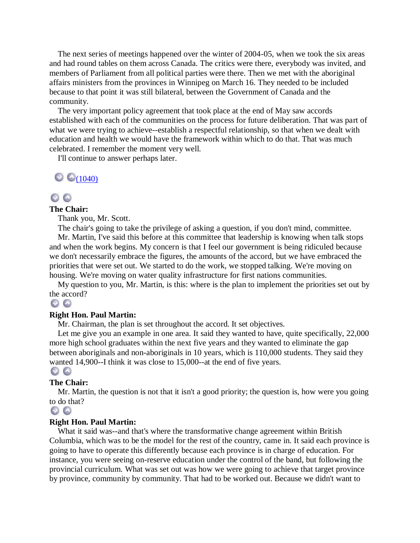The next series of meetings happened over the winter of 2004-05, when we took the six areas and had round tables on them across Canada. The critics were there, everybody was invited, and members of Parliament from all political parties were there. Then we met with the aboriginal affairs ministers from the provinces in Winnipeg on March 16. They needed to be included because to that point it was still bilateral, between the Government of Canada and the community.

 The very important policy agreement that took place at the end of May saw accords established with each of the communities on the process for future deliberation. That was part of what we were trying to achieve--establish a respectful relationship, so that when we dealt with education and health we would have the framework within which to do that. That was much celebrated. I remember the moment very well.

I'll continue to answer perhaps later.

## $\odot$  (1040)

## $\bullet$   $\bullet$

#### **The Chair:**

Thank you, Mr. Scott.

The chair's going to take the privilege of asking a question, if you don't mind, committee.

 Mr. Martin, I've said this before at this committee that leadership is knowing when talk stops and when the work begins. My concern is that I feel our government is being ridiculed because we don't necessarily embrace the figures, the amounts of the accord, but we have embraced the priorities that were set out. We started to do the work, we stopped talking. We're moving on housing. We're moving on water quality infrastructure for first nations communities.

 My question to you, Mr. Martin, is this: where is the plan to implement the priorities set out by the accord?

#### $\bullet$

#### **Right Hon. Paul Martin:**

Mr. Chairman, the plan is set throughout the accord. It set objectives.

 Let me give you an example in one area. It said they wanted to have, quite specifically, 22,000 more high school graduates within the next five years and they wanted to eliminate the gap between aboriginals and non-aboriginals in 10 years, which is 110,000 students. They said they wanted 14,900--I think it was close to 15,000--at the end of five years.  $\circ$   $\circ$ 

#### **The Chair:**

 Mr. Martin, the question is not that it isn't a good priority; the question is, how were you going to do that?

## $\odot$   $\odot$

#### **Right Hon. Paul Martin:**

 What it said was--and that's where the transformative change agreement within British Columbia, which was to be the model for the rest of the country, came in. It said each province is going to have to operate this differently because each province is in charge of education. For instance, you were seeing on-reserve education under the control of the band, but following the provincial curriculum. What was set out was how we were going to achieve that target province by province, community by community. That had to be worked out. Because we didn't want to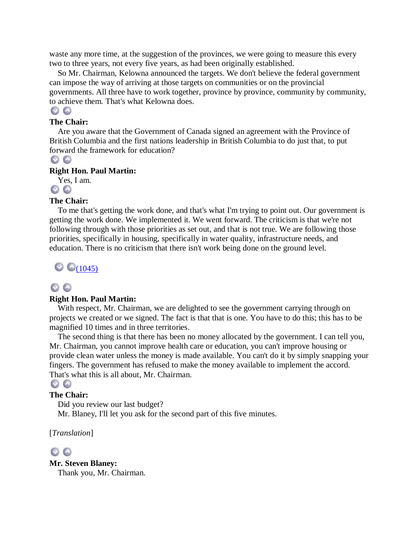waste any more time, at the suggestion of the provinces, we were going to measure this every two to three years, not every five years, as had been originally established.

 So Mr. Chairman, Kelowna announced the targets. We don't believe the federal government can impose the way of arriving at those targets on communities or on the provincial governments. All three have to work together, province by province, community by community, to achieve them. That's what Kelowna does.

## $\odot$   $\odot$

## **The Chair:**

 Are you aware that the Government of Canada signed an agreement with the Province of British Columbia and the first nations leadership in British Columbia to do just that, to put forward the framework for education?

## $\odot$   $\odot$

#### **Right Hon. Paul Martin:**

Yes, I am.

## $\odot$   $\odot$

#### **The Chair:**

 To me that's getting the work done, and that's what I'm trying to point out. Our government is getting the work done. We implemented it. We went forward. The criticism is that we're not following through with those priorities as set out, and that is not true. We are following those priorities, specifically in housing, specifically in water quality, infrastructure needs, and education. There is no criticism that there isn't work being done on the ground level.

 $\odot$   $\odot$  (1045)

## $\odot$   $\odot$

#### **Right Hon. Paul Martin:**

 With respect, Mr. Chairman, we are delighted to see the government carrying through on projects we created or we signed. The fact is that that is one. You have to do this; this has to be magnified 10 times and in three territories.

 The second thing is that there has been no money allocated by the government. I can tell you, Mr. Chairman, you cannot improve health care or education, you can't improve housing or provide clean water unless the money is made available. You can't do it by simply snapping your fingers. The government has refused to make the money available to implement the accord. That's what this is all about, Mr. Chairman.  $\odot$   $\odot$ 

#### **The Chair:**

 Did you review our last budget? Mr. Blaney, I'll let you ask for the second part of this five minutes.

[*Translation*]

## $\odot$   $\odot$

**Mr. Steven Blaney:**  Thank you, Mr. Chairman.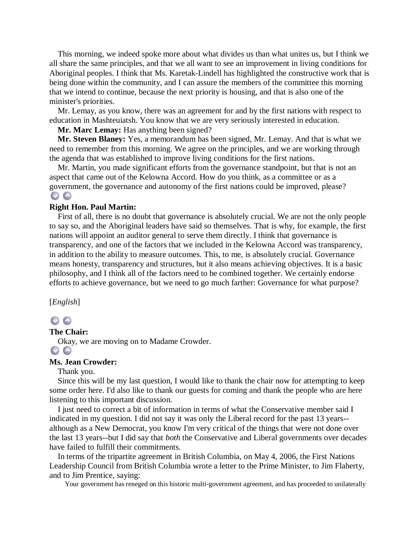This morning, we indeed spoke more about what divides us than what unites us, but I think we all share the same principles, and that we all want to see an improvement in living conditions for Aboriginal peoples. I think that Ms. Karetak-Lindell has highlighted the constructive work that is being done within the community, and I can assure the members of the committee this morning that we intend to continue, because the next priority is housing, and that is also one of the minister's priorities.

 Mr. Lemay, as you know, there was an agreement for and by the first nations with respect to education in Mashteuiatsh. You know that we are very seriously interested in education.

**Mr. Marc Lemay:** Has anything been signed?

 **Mr. Steven Blaney:** Yes, a memorandum has been signed, Mr. Lemay. And that is what we need to remember from this morning. We agree on the principles, and we are working through the agenda that was established to improve living conditions for the first nations.

 Mr. Martin, you made significant efforts from the governance standpoint, but that is not an aspect that came out of the Kelowna Accord. How do you think, as a committee or as a government, the governance and autonomy of the first nations could be improved, please?  $\odot$   $\odot$ 

#### **Right Hon. Paul Martin:**

 First of all, there is no doubt that governance is absolutely crucial. We are not the only people to say so, and the Aboriginal leaders have said so themselves. That is why, for example, the first nations will appoint an auditor general to serve them directly. I think that governance is transparency, and one of the factors that we included in the Kelowna Accord was transparency, in addition to the ability to measure outcomes. This, to me, is absolutely crucial. Governance means honesty, transparency and structures, but it also means achieving objectives. It is a basic philosophy, and I think all of the factors need to be combined together. We certainly endorse efforts to achieve governance, but we need to go much farther: Governance for what purpose?

[*English*]

## $\bullet$   $\bullet$

#### **The Chair:**

Okay, we are moving on to Madame Crowder.

#### $\odot$   $\odot$

#### **Ms. Jean Crowder:**

Thank you.

 Since this will be my last question, I would like to thank the chair now for attempting to keep some order here. I'd also like to thank our guests for coming and thank the people who are here listening to this important discussion.

 I just need to correct a bit of information in terms of what the Conservative member said I indicated in my question. I did not say it was only the Liberal record for the past 13 years- although as a New Democrat, you know I'm very critical of the things that were not done over the last 13 years--but I did say that *both* the Conservative and Liberal governments over decades have failed to fulfill their commitments.

 In terms of the tripartite agreement in British Columbia, on May 4, 2006, the First Nations Leadership Council from British Columbia wrote a letter to the Prime Minister, to Jim Flaherty, and to Jim Prentice, saying:

Your government has reneged on this historic multi-government agreement, and has proceeded to unilaterally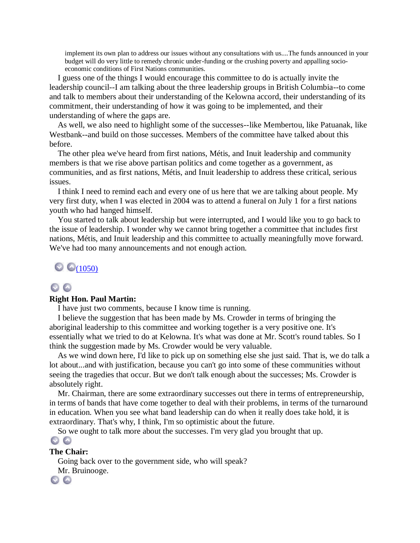implement its own plan to address our issues without any consultations with us....The funds announced in your budget will do very little to remedy chronic under-funding or the crushing poverty and appalling socioeconomic conditions of First Nations communities.

 I guess one of the things I would encourage this committee to do is actually invite the leadership council--I am talking about the three leadership groups in British Columbia--to come and talk to members about their understanding of the Kelowna accord, their understanding of its commitment, their understanding of how it was going to be implemented, and their understanding of where the gaps are.

 As well, we also need to highlight some of the successes--like Membertou, like Patuanak, like Westbank--and build on those successes. Members of the committee have talked about this before.

 The other plea we've heard from first nations, Métis, and Inuit leadership and community members is that we rise above partisan politics and come together as a government, as communities, and as first nations, Métis, and Inuit leadership to address these critical, serious issues.

 I think I need to remind each and every one of us here that we are talking about people. My very first duty, when I was elected in 2004 was to attend a funeral on July 1 for a first nations youth who had hanged himself.

 You started to talk about leadership but were interrupted, and I would like you to go back to the issue of leadership. I wonder why we cannot bring together a committee that includes first nations, Métis, and Inuit leadership and this committee to actually meaningfully move forward. We've had too many announcements and not enough action.

## $\odot$   $\odot$  (1050)

## $\odot$   $\odot$

#### **Right Hon. Paul Martin:**

I have just two comments, because I know time is running.

 I believe the suggestion that has been made by Ms. Crowder in terms of bringing the aboriginal leadership to this committee and working together is a very positive one. It's essentially what we tried to do at Kelowna. It's what was done at Mr. Scott's round tables. So I think the suggestion made by Ms. Crowder would be very valuable.

 As we wind down here, I'd like to pick up on something else she just said. That is, we do talk a lot about...and with justification, because you can't go into some of these communities without seeing the tragedies that occur. But we don't talk enough about the successes; Ms. Crowder is absolutely right.

 Mr. Chairman, there are some extraordinary successes out there in terms of entrepreneurship, in terms of bands that have come together to deal with their problems, in terms of the turnaround in education. When you see what band leadership can do when it really does take hold, it is extraordinary. That's why, I think, I'm so optimistic about the future.

 So we ought to talk more about the successes. I'm very glad you brought that up.  $\odot$   $\odot$ 

#### **The Chair:**

Going back over to the government side, who will speak?

Mr. Bruinooge.

 $\odot$   $\odot$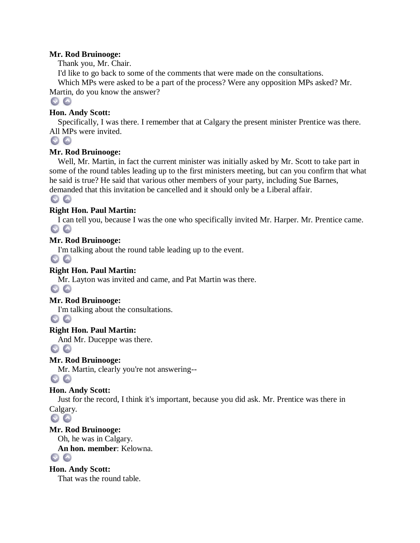#### **Mr. Rod Bruinooge:**

Thank you, Mr. Chair.

I'd like to go back to some of the comments that were made on the consultations.

 Which MPs were asked to be a part of the process? Were any opposition MPs asked? Mr. Martin, do you know the answer?

 $\odot$   $\odot$ 

### **Hon. Andy Scott:**

 Specifically, I was there. I remember that at Calgary the present minister Prentice was there. All MPs were invited.

 $\odot$   $\odot$ 

## **Mr. Rod Bruinooge:**

 Well, Mr. Martin, in fact the current minister was initially asked by Mr. Scott to take part in some of the round tables leading up to the first ministers meeting, but can you confirm that what he said is true? He said that various other members of your party, including Sue Barnes, demanded that this invitation be cancelled and it should only be a Liberal affair.

 $\odot$   $\odot$ 

## **Right Hon. Paul Martin:**

 I can tell you, because I was the one who specifically invited Mr. Harper. Mr. Prentice came.  $\odot$   $\odot$ 

### **Mr. Rod Bruinooge:**

I'm talking about the round table leading up to the event.

 $\odot$   $\odot$ 

### **Right Hon. Paul Martin:**

Mr. Layton was invited and came, and Pat Martin was there.

#### $\odot$   $\odot$

## **Mr. Rod Bruinooge:**

I'm talking about the consultations.

 $\bullet$   $\bullet$ 

## **Right Hon. Paul Martin:**

And Mr. Duceppe was there.

 $\odot$   $\odot$ 

## **Mr. Rod Bruinooge:**

Mr. Martin, clearly you're not answering--

 $\odot$   $\odot$ 

## **Hon. Andy Scott:**

 Just for the record, I think it's important, because you did ask. Mr. Prentice was there in Calgary.

 $\bullet$ 

## **Mr. Rod Bruinooge:**

Oh, he was in Calgary.

**An hon. member**: Kelowna.

 $\odot$   $\odot$ 

## **Hon. Andy Scott:**

That was the round table.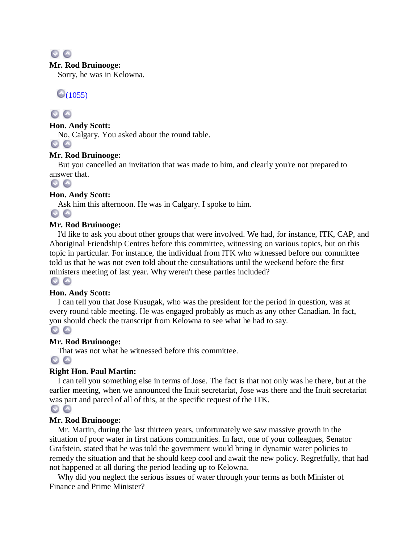$\odot$   $\odot$ 

### **Mr. Rod Bruinooge:**

Sorry, he was in Kelowna.

 $\odot$ (1055)

## $\bullet$   $\circ$

## **Hon. Andy Scott:**

No, Calgary. You asked about the round table.

 $\odot$   $\odot$ 

### **Mr. Rod Bruinooge:**

 But you cancelled an invitation that was made to him, and clearly you're not prepared to answer that.

 $\odot$   $\odot$ 

## **Hon. Andy Scott:**

 [Ask](http://cmte.parl.gc.ca/Content/HOC/committee/391/aano/evidence/ev2499050/aanoev25-e.htm) him this afternoon. He was in Calgary. I spoke to him.

 $\circ$   $\circ$ 

## **Mr. Rod Bruinooge:**

 I'd like to ask you about other groups that were involved. We had, for instance, ITK, CAP, and Aboriginal Friendship Centres before this committee, witnessing on various topics, but on this topic in particular. For instance, the individual from ITK who witnessed before our committee told us that he was not even told about the consultations until the weekend before the first [ministe](http://cmte.parl.gc.ca/Content/HOC/committee/391/aano/evidence/ev2499050/aanoev25-e.htm)rs meeting of last year. Why weren't these parties included?

 $\odot$   $\odot$ 

## **Hon. Andy Scott:**

 I can tell you that Jose Kusugak, who was the president for the period in question, was at every round table meeting. He was engaged probably as much as any other Canadian. In fact, you should check the transcript from Kelowna to see what he had to say.

 $\bullet$ 

## **Mr. Rod Bruinooge:**

That was not what he witnessed before this committee.

### $\odot$   $\odot$

## **Right Hon. Paul Martin:**

 I can tell you something else in terms of Jose. The fact is that not only was he there, but at the earlier meeting, when we announced the Inuit secretariat, Jose was there and the Inuit secretariat was part and parcel of all of this, at the specific request of the ITK.

## $\bullet$

## **Mr. Rod Bruinooge:**

 Mr. Martin, during the last thirteen years, unfortunately we saw massive growth in the situation of poor water in first nations communities. In fact, one of your colleagues, Senator Grafstein, stated that he was told the government would bring in dynamic water policies to remedy the situation and that he should keep cool and await the new policy. Regretfully, that had not happened at all during the period leading up to Kelowna.

 Why did you neglect the serious issues of water through your terms as both Minister of Finance and Prime Minister?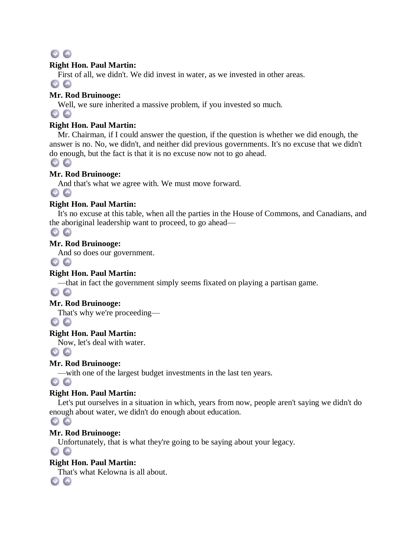# $\odot$   $\odot$

## **Right Hon. Paul Martin:**

 [First](http://cmte.parl.gc.ca/Content/HOC/committee/391/aano/evidence/ev2499050/aanoev25-e.htm) of all, we didn't. We did invest in water, as we invested in other areas.

 $\bullet$ 

## **Mr. Rod Bruinooge:**

Well, we sure inherited a massive problem, if you invested so much.

 $\odot$   $\odot$ 

## **Right Hon. Paul Martin:**

 Mr. Chairman, if I could answer the question, if the question is whether we did enough, the answer is no. No, we didn't, and neither did previous governments. It's no excuse that we didn't [do enou](http://cmte.parl.gc.ca/Content/HOC/committee/391/aano/evidence/ev2499050/aanoev25-e.htm)gh, but the fact is that it is no excuse now not to go ahead.

 $\odot$   $\odot$ 

## **Mr. Rod Bruinooge:**

And that's what we agree with. We must move forward.

 $\odot$   $\odot$ 

## **Right Hon. Paul Martin:**

 It's no excuse at this table, when all the parties in the House of Commons, and Canadians, and the aboriginal leadership want to proceed, to go ahead—

 $\bullet$   $\bullet$ 

## **Mr. Rod Bruinooge:**

And so does our government.

 $\odot$   $\odot$ 

## **Right Hon. Paul Martin:**

—that in fact the government simply seems fixated on playing a partisan game.

 $\odot$   $\odot$ 

## **Mr. Rod Bruinooge:**

That's why we're proceeding—

 $\odot$   $\odot$ 

## **Right Hon. Paul Martin:**

Now, let's deal with water.

 $\odot$   $\odot$ 

## **Mr. Rod Bruinooge:**

—with one of the largest budget investments in the last ten years.

 $\bullet$ 

## **Right Hon. Paul Martin:**

 Let's put ourselves in a situation in which, years from now, people aren't saying we didn't do enough about water, we didn't do enough about education.

 $\bullet$ 

## **Mr. Rod Bruinooge:**

Unfortunately, that is what they're going to be saying about your legacy.

### $\odot$   $\odot$ **Right Hon. Paul Martin:**

That's what Kelowna is all about.

 $\odot$   $\odot$